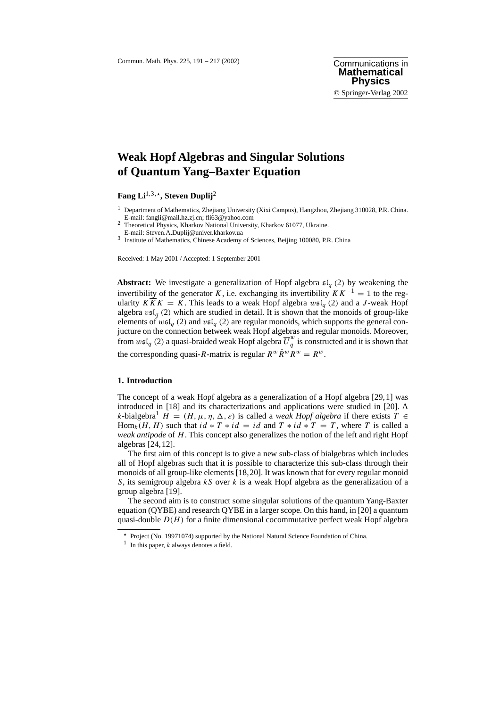# **Weak Hopf Algebras and Singular Solutions of Quantum Yang–Baxter Equation**

**Fang Li**1,3,-**, Steven Duplij**<sup>2</sup>

<sup>1</sup> Department of Mathematics, Zhejiang University (Xixi Campus), Hangzhou, Zhejiang 310028, P.R. China.<br>E-mail: fangli@mail.hz.zj.cn; fli63@yahoo.com

<sup>2</sup> Theoretical Physics, Kharkov National University, Kharkov 61077, Ukraine.<br>E-mail: Steven.A.Duplij@univer.kharkov.ua

<sup>3</sup> Institute of Mathematics, Chinese Academy of Sciences, Beijing 100080, P.R. China

Received: 1 May 2001 / Accepted: 1 September 2001

**Abstract:** We investigate a generalization of Hopf algebra  $\mathfrak{sl}_q(2)$  by weakening the invertibility of the generator K, i.e. exchanging its invertibility  $KK^{-1} = 1$  to the regularity  $K\overline{K}K = K$ . This leads to a weak Hopf algebra  $w\mathfrak{sl}_q(2)$  and a J-weak Hopf algebra  $v\mathfrak{sl}_q$  (2) which are studied in detail. It is shown that the monoids of group-like elements of  $w\mathfrak{sl}_q(2)$  and  $v\mathfrak{sl}_q(2)$  are regular monoids, which supports the general conjucture on the connection betweek weak Hopf algebras and regular monoids. Moreover, from  $w\mathfrak{sl}_q$  (2) a quasi-braided weak Hopf algebra  $\overline{U}_q^w$  is constructed and it is shown that the corresponding quasi-R-matrix is regular  $R^w \hat{R}^w R^w = R^w$ .

## **1. Introduction**

The concept of a weak Hopf algebra as a generalization of a Hopf algebra [29,1] was introduced in [18] and its characterizations and applications were studied in [20]. A k-bialgebra<sup>1</sup>  $H = (H, \mu, \eta, \Delta, \varepsilon)$  is called a *weak Hopf algebra* if there exists  $T \in$ Hom<sub>k</sub>(H, H) such that  $id * T * id = id$  and  $T * id * T = T$ , where T is called a *weak antipode* of H. This concept also generalizes the notion of the left and right Hopf algebras [24,12].

The first aim of this concept is to give a new sub-class of bialgebras which includes all of Hopf algebras such that it is possible to characterize this sub-class through their monoids of all group-like elements [18,20]. It was known that for every regular monoid S, its semigroup algebra  $kS$  over k is a weak Hopf algebra as the generalization of a group algebra [19].

The second aim is to construct some singular solutions of the quantum Yang-Baxter equation (QYBE) and research QYBE in a larger scope. On this hand, in [20] a quantum quasi-double  $D(H)$  for a finite dimensional cocommutative perfect weak Hopf algebra

<sup>\*</sup> Project (No. 19971074) supported by the National Natural Science Foundation of China.

<sup>&</sup>lt;sup>1</sup> In this paper,  $k$  always denotes a field.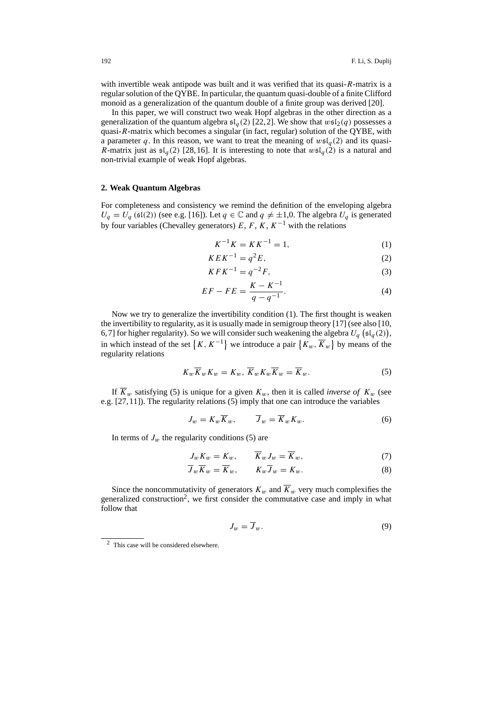with invertible weak antipode was built and it was verified that its quasi-R-matrix is a regular solution of the QYBE. In particular, the quantum quasi-double of a finite Clifford monoid as a generalization of the quantum double of a finite group was derived [20].

In this paper, we will construct two weak Hopf algebras in the other direction as a generalization of the quantum algebra  $\mathfrak{sl}_a(2)$  [22,2]. We show that  $w\mathfrak{sl}_2(q)$  possesses a quasi-R-matrix which becomes a singular (in fact, regular) solution of the QYBE, with a parameter q. In this reason, we want to treat the meaning of  $wsL_q(2)$  and its quasi-R-matrix just as  $\mathfrak{sl}_a(2)$  [28,16]. It is interesting to note that  $w\mathfrak{sl}_a(2)$  is a natural and non-trivial example of weak Hopf algebras.

## **2. Weak Quantum Algebras**

For completeness and consistency we remind the definition of the enveloping algebra  $U_q = U_q$  (sl(2)) (see e.g. [16]). Let  $q \in \mathbb{C}$  and  $q \neq \pm 1,0$ . The algebra  $U_q$  is generated by four variables (Chevalley generators) E, F, K,  $K^{-1}$  with the relations

$$
K^{-1}K = KK^{-1} = 1,\t(1)
$$

$$
KEK^{-1} = q^2E,\t\t(2)
$$

$$
KFK^{-1} = q^{-2}F,
$$
\n(3)

$$
EF - FE = \frac{K - K^{-1}}{q - q^{-1}}.
$$
\n(4)

Now we try to generalize the invertibility condition (1). The first thought is weaken the invertibility to regularity, as it is usually made in semigroup theory [17] (see also [10, 6,7] for higher regularity). So we will consider such weakening the algebra  $U_q$  ( $\mathfrak{sl}_q(2)$ ), in which instead of the set  $\{K, K^{-1}\}$  we introduce a pair  $\{K_w, \overline{K}_w\}$  by means of the regularity relations

$$
K_w \overline{K}_w K_w = K_w, \ \overline{K}_w K_w \overline{K}_w = \overline{K}_w. \tag{5}
$$

If  $\overline{K}_w$  satisfying (5) is unique for a given  $K_w$ , then it is called *inverse of*  $K_w$  (see e.g. [27,11]). The regularity relations (5) imply that one can introduce the variables

$$
J_w = K_w \overline{K}_w, \qquad \overline{J}_w = \overline{K}_w K_w.
$$
 (6)

In terms of  $J_w$  the regularity conditions (5) are

$$
J_w K_w = K_w, \qquad \overline{K}_w J_w = \overline{K}_w, \tag{7}
$$

$$
\overline{J}_w \overline{K}_w = \overline{K}_w, \qquad K_w \overline{J}_w = K_w. \tag{8}
$$

Since the noncommutativity of generators  $K_w$  and  $\overline{K}_w$  very much complexifies the generalized construction<sup>2</sup>, we first consider the commutative case and imply in what follow that

$$
J_w = \overline{J}_w. \tag{9}
$$

<sup>2</sup> This case will be considered elsewhere.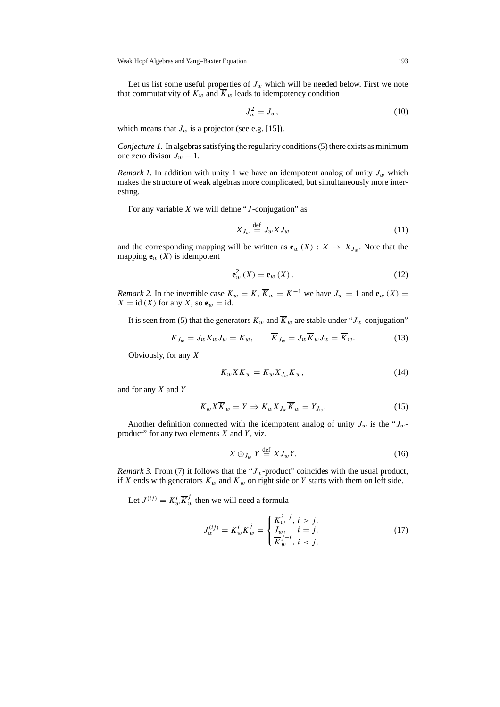Let us list some useful properties of  $J_w$  which will be needed below. First we note that commutativity of  $K_w$  and  $K_w$  leads to idempotency condition

$$
J_w^2 = J_w,\tag{10}
$$

which means that  $J_w$  is a projector (see e.g. [15]).

*Conjecture 1.* In algebras satisfying the regularity conditions (5) there exists as minimum one zero divisor  $J_w - 1$ .

*Remark 1.* In addition with unity 1 we have an idempotent analog of unity  $J_w$  which makes the structure of weak algebras more complicated, but simultaneously more interesting.

For any variable  $X$  we will define "*J*-conjugation" as

$$
X_{J_w} \stackrel{\text{def}}{=} J_w X J_w \tag{11}
$$

and the corresponding mapping will be written as  $e_w(X) : X \to X_{J_w}$ . Note that the mapping  $\mathbf{e}_w(X)$  is idempotent

$$
\mathbf{e}_w^2\left(X\right) = \mathbf{e}_w\left(X\right). \tag{12}
$$

*Remark 2.* In the invertible case  $K_w = K$ ,  $\overline{K}_w = K^{-1}$  we have  $J_w = 1$  and  $\mathbf{e}_w(X) =$  $X = id(X)$  for any X, so  $e_w = id$ .

It is seen from (5) that the generators  $K_w$  and  $\overline{K}_w$  are stable under " $J_w$ -conjugation"

$$
K_{J_w} = J_w K_w J_w = K_w, \qquad \overline{K}_{J_w} = J_w \overline{K}_w J_w = \overline{K}_w.
$$
 (13)

Obviously, for any X

$$
K_w X \overline{K}_w = K_w X_{J_w} \overline{K}_w, \qquad (14)
$$

and for any  $X$  and  $Y$ 

$$
K_w X \overline{K}_w = Y \Rightarrow K_w X_{J_w} \overline{K}_w = Y_{J_w}.
$$
\n(15)

Another definition connected with the idempotent analog of unity  $J_w$  is the " $J_w$ product" for any two elements  $X$  and  $Y$ , viz.

$$
X \odot_{J_w} Y \stackrel{\text{def}}{=} X J_w Y. \tag{16}
$$

*Remark 3.* From (7) it follows that the " $J_w$ -product" coincides with the usual product, if X ends with generators  $K_w$  and  $\overline{K}_w$  on right side or Y starts with them on left side.

Let  $J^{(ij)} = K_w^i \overline{K}_w^j$  then we will need a formula

$$
J_w^{(ij)} = K_w^i \overline{K}_w^j = \begin{cases} K_w^{i-j}, & i > j, \\ J_w, & i = j, \\ \overline{K}_w^{j-i}, & i < j, \end{cases}
$$
(17)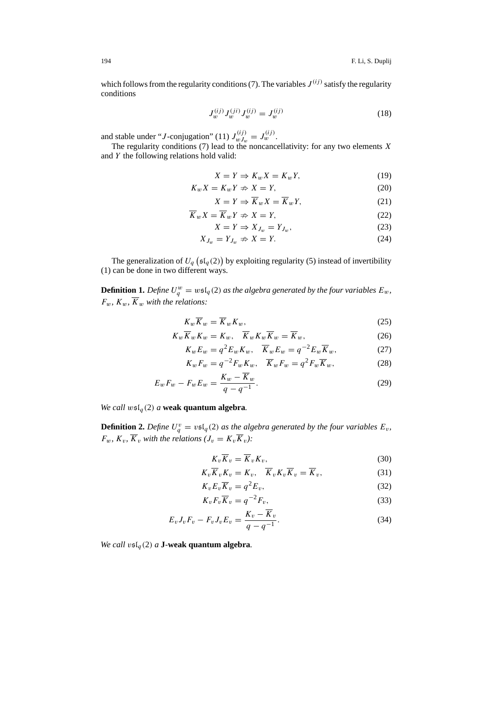which follows from the regularity conditions (7). The variables  $J^{(ij)}$  satisfy the regularity conditions

$$
J_w^{(ij)} J_w^{(ji)} J_w^{(ij)} = J_w^{(ij)}
$$
\n(18)

and stable under "*J*-conjugation" (11)  $J_{wJ_w}^{(ij)} = J_w^{(ij)}$ .

The regularity conditions (7) lead to the noncancellativity: for any two elements  $X$ and Y the following relations hold valid:

$$
X = Y \Rightarrow K_w X = K_w Y,\tag{19}
$$

$$
K_w X = K_w Y \nRightarrow X = Y,
$$
\n(20)

$$
X = Y \Rightarrow \overline{K}_w X = \overline{K}_w Y,\tag{21}
$$

$$
\overline{K}_w X = \overline{K}_w Y \nRightarrow X = Y,\tag{22}
$$

$$
X = Y \Rightarrow X_{J_w} = Y_{J_w},\tag{23}
$$

$$
X_{J_w} = Y_{J_w} \nRightarrow X = Y.
$$
\n<sup>(24)</sup>

The generalization of  $U_q$  ( $\mathfrak{sl}_q(2)$ ) by exploiting regularity (5) instead of invertibility (1) can be done in two different ways.

**Definition 1.** Define  $U_q^w = w\mathfrak{sl}_q(2)$  as the algebra generated by the four variables  $E_w$ ,  $F_w$ ,  $K_w$ ,  $\overline{K}_w$  with the relations:

$$
K_w \overline{K}_w = \overline{K}_w K_w,\tag{25}
$$

$$
K_w \overline{K}_w K_w = K_w, \quad \overline{K}_w K_w \overline{K}_w = \overline{K}_w,
$$
\n(26)

$$
K_w E_w = q^2 E_w K_w, \quad \overline{K}_w E_w = q^{-2} E_w \overline{K}_w,
$$
\n(27)

$$
K_w F_w = q^{-2} F_w K_w, \quad \overline{K}_w F_w = q^2 F_w \overline{K}_w,
$$
\n(28)

$$
E_w F_w - F_w E_w = \frac{K_w - K_w}{q - q^{-1}}.
$$
\n(29)

*We call*  $ws\mathfrak{l}_q(2)$  *a* **weak quantum algebra**.

**Definition 2.** Define  $U_q^v = v \mathfrak{sl}_q(2)$  as the algebra generated by the four variables  $E_v$ ,  $F_w$ *,*  $K_v$ *,*  $\overline{K}_v$  *with the relations*  $(J_v = K_v \overline{K}_v)$ *:* 

$$
K_v \overline{K}_v = \overline{K}_v K_v,\tag{30}
$$

$$
K_v \overline{K}_v K_v = K_v, \quad \overline{K}_v K_v \overline{K}_v = \overline{K}_v,
$$
\n(31)

$$
K_v E_v \overline{K}_v = q^2 E_v,\tag{32}
$$

$$
K_v F_v \overline{K}_v = q^{-2} F_v,\tag{33}
$$

$$
E_v J_v F_v - F_v J_v E_v = \frac{K_v - \overline{K}_v}{q - q^{-1}}.
$$
\n(34)

*We call*  $\upsilon$ s<sup>[</sup> $a$ <sup>(2)</sup> *a* **J***-***weak quantum algebra.**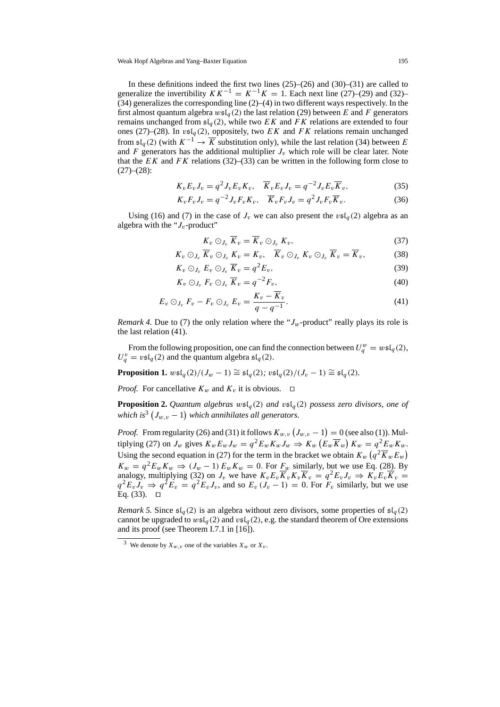In these definitions indeed the first two lines (25)–(26) and (30)–(31) are called to generalize the invertibility  $KK^{-1} = K^{-1}K = 1$ . Each next line (27)–(29) and (32)–  $(34)$  generalizes the corresponding line  $(2)$ – $(4)$  in two different ways respectively. In the first almost quantum algebra  $w\mathfrak{sl}_q(2)$  the last relation (29) between E and F generators remains unchanged from  $\mathfrak{sl}_q(2)$ , while two EK and FK relations are extended to four ones (27)–(28). In  $\mathfrak{v}\mathfrak{sl}_q(2)$ , oppositely, two EK and FK relations remain unchanged from  $\mathfrak{sl}_a(2)$  (with  $K^{-1} \to \overline{K}$  substitution only), while the last relation (34) between E and F generators has the additional multiplier  $J_v$  which role will be clear later. Note that the EK and FK relations (32)–(33) can be written in the following form close to  $(27)–(28)$ :

$$
K_v E_v J_v = q^2 J_v E_v K_v, \quad \overline{K}_v E_v J_v = q^{-2} J_v E_v \overline{K}_v,
$$
\n
$$
(35)
$$

$$
K_v F_v J_v = q^{-2} J_v F_v K_v, \quad \overline{K}_v F_v J_v = q^2 J_v F_v \overline{K}_v.
$$
\n
$$
(36)
$$

Using (16) and (7) in the case of  $J_v$  we can also present the  $v \mathfrak{sl}_q(2)$  algebra as an algebra with the " $J_v$ -product"

$$
K_v \odot_{J_v} \overline{K}_v = \overline{K}_v \odot_{J_v} K_v, \qquad (37)
$$

$$
K_v \odot_{J_v} \overline{K}_v \odot_{J_v} \underline{K}_v = K_v, \quad \overline{K}_v \odot_{J_v} K_v \odot_{J_v} \overline{K}_v = \overline{K}_v,
$$
 (38)

$$
K_v \odot_{J_v} E_v \odot_{J_v} \overline{K}_v = q^2 E_v,
$$
\n(39)

$$
K_v \odot_{J_v} F_v \odot_{J_v} \overline{K}_v = q^{-2} F_v,
$$
\n
$$
\tag{40}
$$

$$
E_v \odot_{J_v} F_v - F_v \odot_{J_v} E_v = \frac{K_v - \overline{K}_v}{q - q^{-1}}.
$$
\n
$$
(41)
$$

*Remark 4.* Due to (7) the only relation where the " $J_w$ -product" really plays its role is the last relation (41).

From the following proposition, one can find the connection between  $U_q^w = w \mathfrak{sl}_q(2)$ ,  $U_q^v = v \mathfrak{sl}_q(2)$  and the quantum algebra  $\mathfrak{sl}_q(2)$ .

**Proposition 1.**  $w\mathfrak{sl}_q(2)/(J_w-1) \cong \mathfrak{sl}_q(2)$ ;  $v\mathfrak{sl}_q(2)/(J_v-1) \cong \mathfrak{sl}_q(2)$ *.* 

*Proof.* For cancellative  $K_w$  and  $K_v$  it is obvious.  $\Box$ 

**Proposition 2.** Quantum algebras  $w \in I_q(2)$  and  $v \in I_q(2)$  possess zero divisors, one of which is $^3\left(J_{w,v}-1\right)$  which annihilates all generators.

*Proof.* From regularity (26) and (31) it follows  $K_{w,v} (J_{w,v} - 1) = 0$  (see also (1)). Multiplying (27) on  $J_w$  gives  $K_w E_w J_w = q^2 E_w K_w J_w \Rightarrow K_w (E_w \overline{K}_w) K_w = q^2 E_w K_w$ . Using the second equation in (27) for the term in the bracket we obtain  $K_w \left( q^2 \overline{K}_w E_w \right)$  $K_w = q^2 E_w K_w \Rightarrow (J_w - 1) E_w K_w = 0$ . For  $\underline{F_w}$  similarly, but we use Eq. (28). By analogy, multiplying (32) on  $J_v$  we have  $K_vE_v\overline{K}_vK_v\overline{K}_v = q^2E_vJ_v \Rightarrow K_vE_v\overline{K}_v =$  $q^2E_vJ_v \Rightarrow q^2E_v = q^2E_vJ_v$ , and so  $E_v(J_v - 1) = 0$ . For  $F_v$  similarly, but we use Eq.  $(33)$ .  $\Box$ 

*Remark 5.* Since  $\mathfrak{sl}_q(2)$  is an algebra without zero divisors, some properties of  $\mathfrak{sl}_q(2)$ cannot be upgraded to  $w\mathfrak{sl}_q(2)$  and  $v\mathfrak{sl}_q(2)$ , e.g. the standard theorem of Ore extensions and its proof (see Theorem I.7.1 in [16]).

<sup>&</sup>lt;sup>3</sup> We denote by  $X_{w,v}$  one of the variables  $X_w$  or  $X_v$ .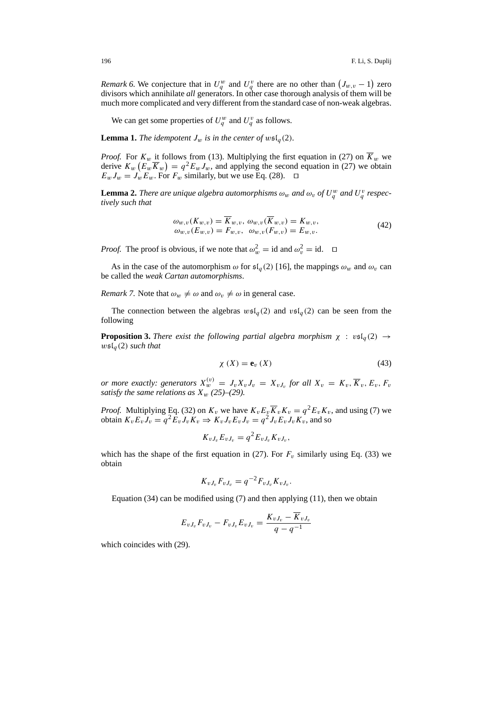*Remark 6.* We conjecture that in  $U_q^w$  and  $U_q^v$  there are no other than  $(J_{w,v} - 1)$  zero divisors which annihilate *all* generators. In other case thorough analysis of them will be much more complicated and very different from the standard case of non-weak algebras.

We can get some properties of  $U_q^w$  and  $U_q^v$  as follows.

**Lemma 1.** *The idempotent*  $J_w$  *is in the center of*  $w\mathfrak{sl}_q(2)$ *.* 

*Proof.* For  $K_w$  it follows from (13). Multiplying the first equation in (27) on  $\overline{K}_w$  we derive  $K_w(E_w \overline{K}_w) = q^2 E_w J_w$ , and applying the second equation in (27) we obtain  $E_w J_w = J_w E_w$ . For  $F_w$  similarly, but we use Eq. (28).

**Lemma 2.** *There are unique algebra automorphisms*  $\omega_w$  *and*  $\omega_v$  *of*  $U_q^w$  *and*  $U_q^v$  *respectively such that*

$$
\begin{aligned} \omega_{w,v}(K_{w,v}) &= \overline{K}_{w,v}, \ \omega_{w,v}(\overline{K}_{w,v}) = K_{w,v}, \\ \omega_{w,v}(E_{w,v}) &= F_{w,v}, \ \ \omega_{w,v}(F_{w,v}) = E_{w,v}. \end{aligned} \tag{42}
$$

*Proof.* The proof is obvious, if we note that  $\omega_w^2 = \text{id}$  and  $\omega_v^2 = \text{id}$ .  $\Box$ 

As in the case of the automorphism  $\omega$  for  $\mathfrak{sl}_q(2)$  [16], the mappings  $\omega_w$  and  $\omega_v$  can be called the *weak Cartan automorphisms*.

*Remark 7.* Note that  $\omega_w \neq \omega$  and  $\omega_v \neq \omega$  in general case.

The connection between the algebras  $wsI_q(2)$  and  $vsI_q(2)$  can be seen from the following

**Proposition 3.** *There exist the following partial algebra morphism*  $\chi : v \in I_q(2) \rightarrow$  $w\mathfrak{sl}_q(2)$  *such that* 

$$
\chi\left(X\right) = \mathbf{e}_v\left(X\right) \tag{43}
$$

*or more exactly: generators*  $X_w^{(v)} = J_v X_v J_v = X_v J_v$  *for all*  $X_v = K_v, \overline{K}_v, E_v, F_v$ *satisfy the same relations as*  $X_w$  (25)–(29).

*Proof.* Multiplying Eq. (32) on  $K_v$  we have  $K_vE_v\overline{K}_vK_v = q^2E_vK_v$ , and using (7) we obtain  $K_v E_v J_v = q^2 \overline{E}_v J_v K_v \Rightarrow K_v J_v E_v J_v = q^2 J_v \overline{E}_v J_v K_v$ , and so

$$
K_{vJ_v}E_{vJ_v}=q^2E_{vJ_v}K_{vJ_v},
$$

which has the shape of the first equation in (27). For  $F_v$  similarly using Eq. (33) we obtain

$$
K_{vJ_v}F_{vJ_v} = q^{-2}F_{vJ_v}K_{vJ_v}.
$$

Equation  $(34)$  can be modified using  $(7)$  and then applying  $(11)$ , then we obtain

$$
E_{vJ_v}F_{vJ_v} - F_{vJ_v}E_{vJ_v} = \frac{K_{vJ_v} - \overline{K}_{vJ_v}}{q - q^{-1}}
$$

which coincides with (29).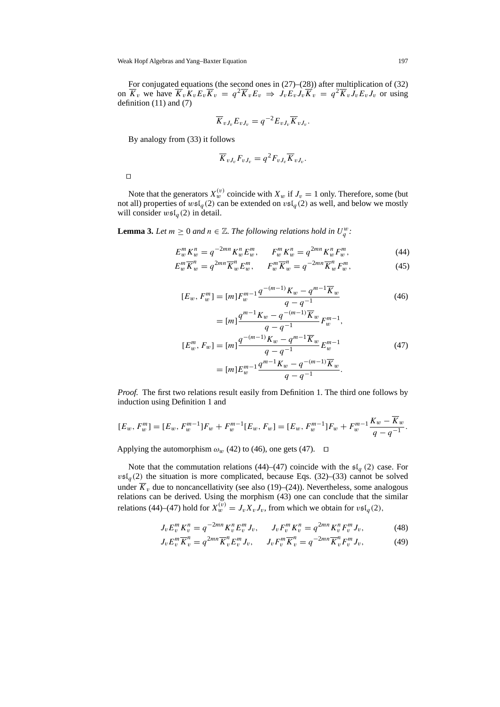Weak Hopf Algebras and Yang–Baxter Equation 197

For conjugated equations (the second ones in (27)–(28)) after multiplication of (32) on  $\overline{K}_v$  we have  $\overline{K}_v K_v E_v \overline{K}_v = q^2 \overline{K}_v E_v \Rightarrow J_v E_v J_v \overline{K}_v = q^2 \overline{K}_v J_v E_v J_v$  or using definition (11) and (7)

$$
\overline{K}_{vJ_v}E_{vJ_v}=q^{-2}E_{vJ_v}\overline{K}_{vJ_v}.
$$

By analogy from (33) it follows

$$
\overline{K}_{vJ_v}F_{vJ_v}=q^2F_{vJ_v}\overline{K}_{vJ_v}.
$$

 $\Box$ 

Note that the generators  $X_w^{(v)}$  coincide with  $X_w$  if  $J_v = 1$  only. Therefore, some (but not all) properties of  $w\mathfrak{sl}_q(2)$  can be extended on  $v\mathfrak{sl}_q(2)$  as well, and below we mostly will consider  $wsl_q(2)$  in detail.

**Lemma 3.** Let  $m \geq 0$  and  $n \in \mathbb{Z}$ . The following relations hold in  $U_q^w$ :

$$
E_w^m K_w^n = q^{-2mn} K_w^n E_w^m, \qquad F_w^m K_w^n = q^{2mn} K_w^n F_w^m,\tag{44}
$$

$$
E_w^m \overline{K}_w^n = q^{2mn} \overline{K}_w^n E_w^m, \qquad F_w^m \overline{K}_w^n = q^{-2mn} \overline{K}_w^n F_w^m,\tag{45}
$$

$$
[E_w, F_w^m] = [m]F_w^{m-1} \frac{q^{-(m-1)}K_w - q^{m-1}\overline{K}_w}{q - q^{-1}}
$$
  
= 
$$
[m] \frac{q^{m-1}K_w - q^{-(m-1)}\overline{K}_w}{q - q^{-1}} F_w^{m-1},
$$
 (46)

$$
[E_w^m, F_w] = [m] \frac{q^{-(m-1)} K_w - q^{m-1} \overline{K}_w}{q - q^{-1}} E_w^{m-1}
$$
  
=  $[m] E_w^{m-1} \frac{q^{m-1} K_w - q^{-(m-1)} \overline{K}_w}{q - q^{-1}}.$  (47)

*Proof.* The first two relations result easily from Definition 1. The third one follows by induction using Definition 1 and

$$
[E_w, F_w^m] = [E_w, F_w^{m-1}]F_w + F_w^{m-1}[E_w, F_w] = [E_w, F_w^{m-1}]F_w + F_w^{m-1}\frac{K_w - \overline{K}_w}{q - q^{-1}}.
$$

Applying the automorphism  $\omega_w$  (42) to (46), one gets (47).  $\Box$ 

Note that the commutation relations (44)–(47) coincide with the  $\mathfrak{sl}_q$  (2) case. For  $v\mathfrak{sl}_q(2)$  the situation is more complicated, because Eqs. (32)–(33) cannot be solved under  $K_v$  due to noncancellativity (see also (19)–(24)). Nevertheless, some analogous relations can be derived. Using the morphism (43) one can conclude that the similar relations (44)–(47) hold for  $X_w^{(v)} = J_v X_v J_v$ , from which we obtain for  $v \mathfrak{sl}_q(2)$ ,

$$
J_v E_v^m K_v^n = q^{-2mn} K_v^n E_v^m J_v, \qquad J_v F_v^m K_v^n = q^{2mn} K_v^n F_v^m J_v,\tag{48}
$$

$$
J_v E_v^m \overline{K}_v^n = q^{2mn} \overline{K}_v^n E_v^m J_v, \qquad J_v F_v^m \overline{K}_v^n = q^{-2mn} \overline{K}_v^n F_v^m J_v,\tag{49}
$$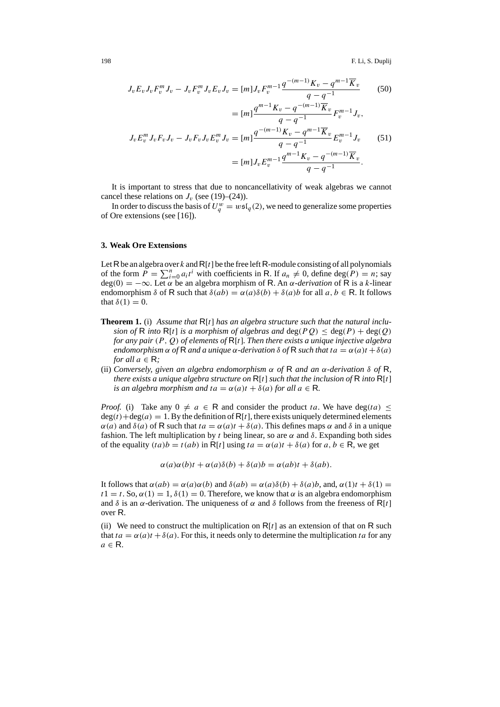$$
J_v E_v J_v F_v^m J_v - J_v F_v^m J_v E_v J_v = [m] J_v F_v^{m-1} \frac{q^{-(m-1)} K_v - q^{m-1} \overline{K}_v}{q - q^{-1}} \qquad (50)
$$
  

$$
= [m] \frac{q^{m-1} K_v - q^{-(m-1)} \overline{K}_v}{q - q^{-1}} F_v^{m-1} J_v,
$$
  

$$
J_v E_v^m J_v F_v J_v - J_v F_v J_v E_v^m J_v = [m] \frac{q^{-(m-1)} K_v - q^{m-1} \overline{K}_v}{q - q^{-1}} E_v^{m-1} J_v \qquad (51)
$$
  

$$
= [m] J_v E_v^{m-1} \frac{q^{m-1} K_v - q^{-(m-1)} \overline{K}_v}{q - q^{-1}}.
$$

It is important to stress that due to noncancellativity of weak algebras we cannot cancel these relations on  $J<sub>v</sub>$  (see (19)–(24)).

In order to discuss the basis of  $U_q^w = w \mathfrak{sl}_q(2)$ , we need to generalize some properties of Ore extensions (see [16]).

## **3. Weak Ore Extensions**

Let R be an algebra over k and  $R[t]$  be the free left R-module consisting of all polynomials of the form  $P = \sum_{i=0}^{n} a_i t^i$  with coefficients in R. If  $a_n \neq 0$ , define deg( $P = n$ ; say deg(0) = −∞. Let α be an algebra morphism of R. An α*-derivation* of R is a k-linear endomorphism  $\delta$  of R such that  $\delta(ab) = \alpha(a)\delta(b) + \delta(a)b$  for all  $a, b \in R$ . It follows that  $\delta(1) = 0$ .

- **Theorem 1.** (i) *Assume that* R[t] *has an algebra structure such that the natural inclusion of* R *into* R[t] *is a morphism of algebras and*  $deg(PQ) \leq deg(P) + deg(Q)$ *for any pair* (P , Q) *of elements of* R[t]*. Then there exists a unique injective algebra endomorphism*  $\alpha$  *of* R *and a unique*  $\alpha$ *-derivation*  $\delta$  *of* R *such that*  $ta = \alpha(a)t + \delta(a)$ *for all*  $a \in \mathsf{R}$ ;
- (ii) *Conversely, given an algebra endomorphism* α *of* R *and an* α*-derivation* δ *of* R*, there exists a unique algebra structure on* R[t] *such that the inclusion of* R *into* R[t] *is an algebra morphism and ta* =  $\alpha$ (*a*)*t* +  $\delta$ (*a*) *for all a*  $\in$  **R**.

*Proof.* (i) Take any  $0 \neq a \in \mathbb{R}$  and consider the product ta. We have deg(ta)  $\leq$  $deg(t) + deg(a) = 1$ . By the definition of R[t], there exists uniquely determined elements  $\alpha(a)$  and  $\delta(a)$  of R such that  $ta = \alpha(a)t + \delta(a)$ . This defines maps  $\alpha$  and  $\delta$  in a unique fashion. The left multiplication by t being linear, so are  $\alpha$  and  $\delta$ . Expanding both sides of the equality  $(ta)b = t(ab)$  in R[t] using  $ta = \alpha(a)t + \delta(a)$  for  $a, b \in \mathbb{R}$ , we get

$$
\alpha(a)\alpha(b)t + \alpha(a)\delta(b) + \delta(a)b = \alpha(ab)t + \delta(ab).
$$

It follows that  $\alpha(ab) = \alpha(a)\alpha(b)$  and  $\delta(ab) = \alpha(a)\delta(b) + \delta(a)b$ , and,  $\alpha(1)t + \delta(1) =$  $t1 = t$ . So,  $\alpha(1) = 1$ ,  $\delta(1) = 0$ . Therefore, we know that  $\alpha$  is an algebra endomorphism and  $\delta$  is an  $\alpha$ -derivation. The uniqueness of  $\alpha$  and  $\delta$  follows from the freeness of R[t] over R.

(ii) We need to construct the multiplication on  $R[t]$  as an extension of that on R such that  $ta = \alpha(a)t + \delta(a)$ . For this, it needs only to determine the multiplication ta for any  $a \in \mathsf{R}$ .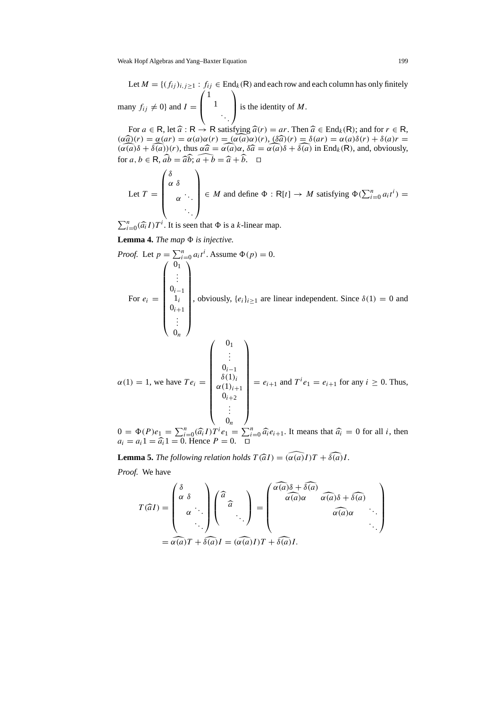Let  $M = \{ (f_{ij})_{i,j\geq 1} : f_{ij} \in End_k(R) \text{ and each row and each column has only finitely} \}$ many  $f_{ij} \neq 0$  and  $I =$  $\sqrt{ }$  $\overline{ }$ 1 1 ...  $\lambda$ is the identity of  $M$ .

For  $a \in \mathsf{R}$ , let  $\widehat{a} : \mathsf{R} \to \mathsf{R}$  satisfying  $\widehat{a}(r) = ar$ . Then  $\widehat{a} \in \text{End}_k(\mathsf{R})$ ; and for  $r \in \mathsf{R}$ ,  $(\alpha \widehat{a})(r) = \alpha(ar) = \alpha(a)\alpha(r) = (\alpha(a)\alpha)(r)$ ,  $(\delta \widehat{a})(r) = \delta(ar) = \alpha(a)\delta(r) + \delta(a)r =$  $(\widehat{\alpha(a)}\delta + \widehat{\delta(a)})(r)$ , thus  $\alpha\widehat{a} = \widehat{\alpha(a)}\alpha$ ,  $\delta\widehat{a} = \widehat{\alpha(a)}\delta + \widehat{\delta(a)}$  in End<sub>k</sub>(R), and, obviously, for  $a, b \in \mathsf{R}$ ,  $\widehat{ab} = \widehat{ab}$ ;  $\widehat{a+b} = \widehat{a} + \widehat{b}$ .  $\square$ 

Let 
$$
T = \begin{pmatrix} \delta & & \\ \alpha & \delta & \\ & \alpha & \ddots \\ & & \ddots \end{pmatrix} \in M
$$
 and define  $\Phi : R[t] \to M$  satisfying  $\Phi(\sum_{i=0}^{n} a_i t^i) =$ 

 $\sum_{i=0}^{n} (\widehat{a}_i I) T^i$ . It is seen that  $\Phi$  is a *k*-linear map.

**Lemma 4.** *The map*  $\Phi$  *is injective.* 

*Proof.* Let 
$$
p = \sum_{i=0}^{n} a_i t^i
$$
. Assume  $\Phi(p) = 0$ .  
\nFor  $e_i = \begin{pmatrix} 0_1 \\ \vdots \\ 0_{i-1} \\ 0_{i+1} \\ \vdots \\ 0_n \end{pmatrix}$ , obviously,  $\{e_i\}_{i\geq 1}$  are linear independent. Since  $\delta(1) = 0$  and  $\begin{pmatrix} 0_1 \\ \vdots \\ 0_n \end{pmatrix}$   
\n $\alpha(1) = 1$ , we have  $Te_i = \begin{pmatrix} 0_1 \\ \vdots \\ 0_{i-1} \\ \delta(1)_i \\ \alpha(1)_{i+1} \\ \vdots \\ 0_n \end{pmatrix} = e_{i+1}$  and  $T^i e_1 = e_{i+1}$  for any  $i \geq 0$ . Thus,

 $0 = \Phi(P)e_1 = \sum_{i=0}^n (\widehat{a_i}I)T^ie_1 = \sum_{i=0}^n \widehat{a_i}e_{i+1}$ . It means that  $\widehat{a_i} = 0$  for all *i*, then  $a_i = a_i 1 = \widehat{a_i}1 = 0$ . Hence  $P = 0$  $a_i = a_i 1 = \hat{a}_i 1 = 0$ . Hence  $P = 0$ .  $\Box$ 

**Lemma 5.** *The following relation holds*  $T(\widehat{a}I) = (\widehat{\alpha(a)}I)T + \widehat{\delta(a)}I$ . *Proof.* We have

$$
T(\widehat{a}I) = \begin{pmatrix} \delta & & \\ \alpha & \delta & \\ & \alpha & \ddots \\ & & \ddots \end{pmatrix} \begin{pmatrix} \widehat{a} & & \\ & \widehat{a} & \\ & & \ddots \end{pmatrix} = \begin{pmatrix} \widehat{\alpha(a)}\delta + \widehat{\delta(a)} & & \\ & \widehat{\alpha(a)}\alpha & \widehat{\alpha(a)}\delta + \widehat{\delta(a)} & \\ & & \widehat{\alpha(a)}\alpha & \\ & & & \ddots \end{pmatrix}
$$

$$
= \widehat{\alpha(a)}T + \widehat{\delta(a)}I = (\widehat{\alpha(a)}I)T + \widehat{\delta(a)}I.
$$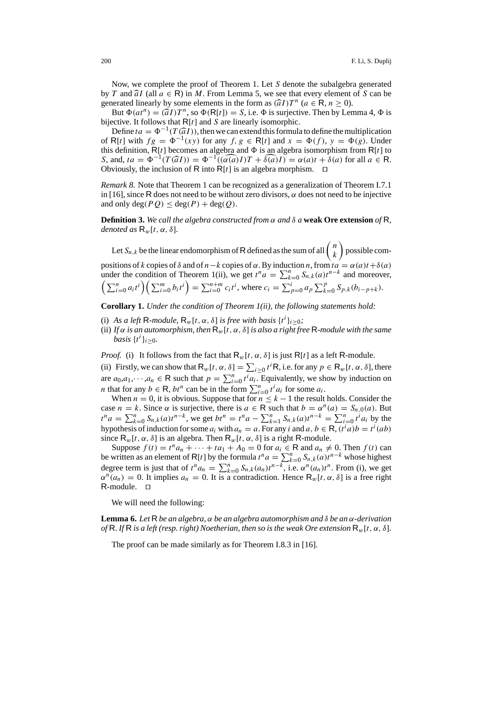Now, we complete the proof of Theorem 1. Let S denote the subalgebra generated by T and  $\hat{a}I$  (all  $a \in \mathbb{R}$ ) in M. From Lemma 5, we see that every element of S can be generated linearly by some elements in the form as  $(\widehat{a}I)T^n$  ( $a \in \mathsf{R}, n > 0$ ).

But  $\Phi(at^n) = (\hat{a}I)T^n$ , so  $\Phi(R[t]) = S$ , i.e.  $\Phi$  is surjective. Then by Lemma 4,  $\Phi$  is bijective. It follows that  $R[t]$  and S are linearly isomorphic.

Define  $ta = \Phi^{-1}(T(\hat{a}I))$ , then we can extend this formula to define the multiplication of R[t] with  $fg = \Phi^{-1}(xy)$  for any  $f, g \in R[t]$  and  $x = \Phi(f), y = \Phi(g)$ . Under this definition,  $R[t]$  becomes an algebra and  $\Phi$  is an algebra isomorphism from  $R[t]$  to S, and,  $ta = \Phi^{-1}(T(\hat{a}I)) = \Phi^{-1}((\alpha(a)I)T + \hat{\delta}(a)I) = \alpha(a)t + \delta(a)$  for all  $a \in \mathbb{R}$ . Obviously, the inclusion of R into R[t] is an algebra morphism.  $\Box$ 

*Remark 8.* Note that Theorem 1 can be recognized as a generalization of Theorem I.7.1 in [16], since R does not need to be without zero divisors,  $\alpha$  does not need to be injective and only deg( $PQ$ )  $\leq$  deg( $P$ ) + deg( $Q$ ).

**Definition 3.** *We call the algebra constructed from* α *and* δ *a* **weak Ore extension** *of* R*, denoted as*  $\mathsf{R}_w[t, \alpha, \delta]$ *.* 

Let  $S_{n,k}$  be the linear endomorphism of R defined as the sum of all  $\binom{n}{k}$  possible compositions of k copies of  $\delta$  and of  $n-k$  copies of  $\alpha$ . By induction n, from  $t a = \alpha(a)t + \delta(a)$ under the condition of Theorem 1(ii), we get  $t^n a = \sum_{k=0}^n S_{n,k}(a)t^{n-k}$  and moreover,  $\left(\sum_{i=0}^n a_i t^i\right) \left(\sum_{i=0}^m b_i t^i\right) = \sum_{i=0}^{n+m} c_i t^i$ , where  $c_i = \sum_{p=0}^i a_p \sum_{k=0}^p S_{p,k} (b_{i-p+k}).$ 

**Corollary 1.** *Under the condition of Theorem 1(ii), the following statements hold:*

- (i) *As a left* R-module,  $R_w[t, \alpha, \delta]$  *is free with basis*  $\{t^i\}_{i \geq 0}$ ;
- (ii) If  $\alpha$  *is an automorphism, then*  $R_w[t, \alpha, \delta]$  *is also a right free* R-module with the same *basis*  $\{t^i\}_{i\geq 0}$ .

*Proof.* (i) It follows from the fact that  $R_w[t, \alpha, \delta]$  is just  $R[t]$  as a left R-module.

(ii) Firstly, we can show that  $R_w[t, \alpha, \delta] = \sum_{i \geq 0} t^i R$ , i.e. for any  $p \in R_w[t, \alpha, \delta]$ , there are  $a_0, a_1, \dots, a_n \in \mathbb{R}$  such that  $p = \sum_{i=0}^n t^i a_i$ . Equivalently, we show by induction on *n* that for any  $b \in \mathbb{R}$ ,  $bt^n$  can be in the form  $\sum_{i=0}^{n} t^i a_i$  for some  $a_i$ .

When  $n = 0$ , it is obvious. Suppose that for  $n \leq k - 1$  the result holds. Consider the case  $n = k$ . Since  $\alpha$  is surjective, there is  $a \in \mathbb{R}$  such that  $b = \alpha^n(a) = S_{n,0}(a)$ . But  $t^n a = \sum_{k=0}^n S_{n,k}(a) t^{n-k}$ , we get  $bt^n = t^n a - \sum_{k=1}^n S_{n,k}(a) t^{n-k} = \sum_{i=0}^n t^i a_i$  by the hypothesis of induction for some  $a_i$  with  $a_n = a$ . For any i and  $a, b \in \mathsf{R}$ ,  $(t^i a)b = t^i(ab)$ since  $R_w[t, \alpha, \delta]$  is an algebra. Then  $R_w[t, \alpha, \delta]$  is a right R-module.

Suppose  $f(t) = t^n a_n + \cdots + t a_1 + A_0 = 0$  for  $a_i \in \mathbb{R}$  and  $a_n \neq 0$ . Then  $f(t)$  can be written as an element of R[t] by the formula  $t^n a = \sum_{k=0}^n S_{n,k}(a)t^{n-k}$  whose highest degree term is just that of  $t^n a_n = \sum_{k=0}^n S_{n,k}(a_n)t^{n-k}$ , i.e.  $\alpha^n(a_n)t^n$ . From (i), we get  $\alpha^{n}(a_{n}) = 0$ . It implies  $a_{n} = 0$ . It is a contradiction. Hence  $\mathsf{R}_{w}[t, \alpha, \delta]$  is a free right R-module.  $\square$ 

We will need the following:

**Lemma 6.** *Let* R *be an algebra,* α *be an algebra automorphism and* δ *be an* α*-derivation of* R. If R is a left (resp. right) Noetherian, then so is the weak Ore extension  $R_w[t, \alpha, \delta]$ .

The proof can be made similarly as for Theorem I.8.3 in [16].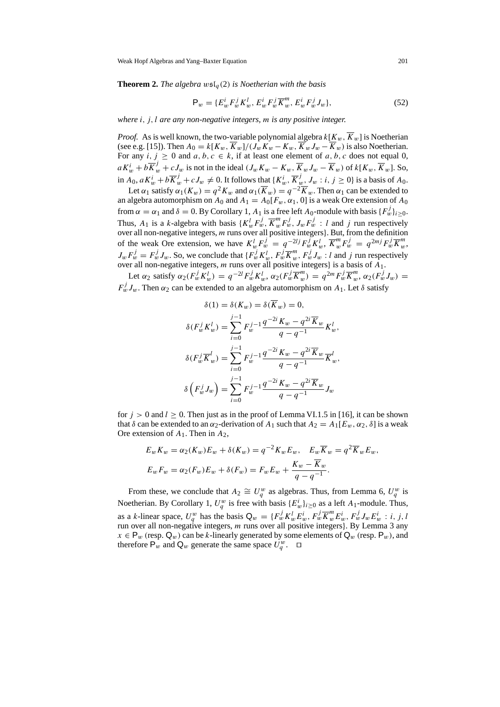**Theorem 2.** *The algebra*  $w \mathfrak{sl}_q(2)$  *is Noetherian with the basis* 

$$
\mathsf{P}_{w} = \{ E_{w}^{i} F_{w}^{j} K_{w}^{l}, E_{w}^{i} F_{w}^{j} \overline{K}_{w}^{m}, E_{w}^{i} F_{w}^{j} J_{w} \},\tag{52}
$$

*where* i, j, l *are any non-negative integers,* m *is any positive integer.*

*Proof.* As is well known, the two-variable polynomial algebra  $k[K_w, \overline{K}_w]$  is Noetherian (see e.g. [15]). Then  $A_0 = k[K_w, \overline{K}_w]/(J_wK_w - K_w, \overline{K}_wJ_w - \overline{K}_w)$  is also Noetherian. For any  $i, j \ge 0$  and  $a, b, c \in k$ , if at least one element of  $a, b, c$  does not equal 0,  $aK_w^i + b\overline{K}_w^j + cJ_w$  is not in the ideal  $(J_wK_w - K_w, \overline{K}_wJ_w - \overline{K}_w)$  of  $k[K_w, \overline{K}_w]$ . So, in  $A_0$ ,  $aK_w^i + b\overline{K}_w^j + cJ_w \neq 0$ . It follows that  $\{K_w^i, \overline{K}_{w}^j, J_w : i, j \ge 0\}$  is a basis of  $A_0$ .

Let  $\alpha_1$  satisfy  $\alpha_1(K_w) = q^2 K_w$  and  $\alpha_1(\overline{K}_w) = q^{-2} \overline{K}_w$ . Then  $\alpha_1$  can be extended to an algebra automorphism on  $A_0$  and  $A_1 = A_0[F_w, \alpha_1, 0]$  is a weak Ore extension of  $A_0$ from  $\alpha = \alpha_1$  and  $\delta = 0$ . By Corollary 1,  $A_1$  is a free left  $A_0$ -module with basis  $\{F_w^j\}_{i \geq 0}$ . Thus,  $A_1$  is a k-algebra with basis  $\{K_w^l F_w^j, \overline{K}_w^m F_w^j, J_w F_w^j : l \text{ and } j \text{ run respectively}\}$ over all non-negative integers, m runs over all positive integers}. But, from the definition of the weak Ore extension, we have  $K_w^l F_w^j = q^{-2lj} F_w^j K_w^l$ ,  $\overline{K}_w^m F_w^j = q^{2mj} F_w^j \overline{K}_w^m$ ,  $J_w F_w^j = F_w^j J_w$ . So, we conclude that  $\{F_w^j K_w^l, F_w^j \overline{K}_w^m, F_w^j J_w : l \text{ and } j \text{ run respectively}\}$ over all non-negative integers, m runs over all positive integers} is a basis of A1.

Let  $\alpha_2$  satisfy  $\alpha_2(F_w^j K_w^l) = q^{-2l} F_w^j K_w^l$ ,  $\alpha_2(F_w^j \overline{K}_w^m) = q^{2m} F_w^j \overline{K}_w^m$ ,  $\alpha_2(F_w^j J_w) =$  $F_w^j J_w$ . Then  $\alpha_2$  can be extended to an algebra automorphism on  $A_1$ . Let  $\delta$  satisfy

$$
\delta(1) = \delta(K_w) = \delta(\overline{K}_w) = 0,
$$
  
\n
$$
\delta(F_w^j K_w^l) = \sum_{i=0}^{j-1} F_w^{j-1} \frac{q^{-2i} K_w - q^{2i} \overline{K}_w}{q - q^{-1}} K_w^l,
$$
  
\n
$$
\delta(F_w^j \overline{K}_w^l) = \sum_{i=0}^{j-1} F_w^{j-1} \frac{q^{-2i} K_w - q^{2i} \overline{K}_w}{q - q^{-1}} \overline{K}_w^l,
$$
  
\n
$$
\delta(F_w^j J_w) = \sum_{i=0}^{j-1} F_w^{j-1} \frac{q^{-2i} K_w - q^{2i} \overline{K}_w}{q - q^{-1}} J_w
$$

for  $j > 0$  and  $l \ge 0$ . Then just as in the proof of Lemma VI.1.5 in [16], it can be shown that  $\delta$  can be extended to an  $\alpha_2$ -derivation of  $A_1$  such that  $A_2 = A_1[E_w, \alpha_2, \delta]$  is a weak Ore extension of  $A_1$ . Then in  $A_2$ ,

$$
E_w K_w = \alpha_2(K_w) E_w + \delta(K_w) = q^{-2} K_w E_w, \quad E_w \overline{K}_w = q^2 \overline{K}_w E_w,
$$
  

$$
E_w F_w = \alpha_2(F_w) E_w + \delta(F_w) = F_w E_w + \frac{K_w - \overline{K}_w}{q - q^{-1}}.
$$

From these, we conclude that  $A_2 \cong U_q^w$  as algebras. Thus, from Lemma 6,  $U_q^w$  is Noetherian. By Corollary 1,  $U_q^w$  is free with basis  $\{E_w^i\}_{i\geq 0}$  as a left  $A_1$ -module. Thus, as a k-linear space,  $U_q^w$  has the basis  $Q_w = \{F_w^j K_w^l E_w^i, F_w^j \overline{K}_w^m E_w^i, F_w^j J_w E_w^i : i, j, l\}$ run over all non-negative integers, m runs over all positive integers}. By Lemma 3 any  $x \in \mathsf{P}_w$  (resp.  $\mathsf{Q}_w$ ) can be k-linearly generated by some elements of  $\mathsf{Q}_w$  (resp.  $\mathsf{P}_w$ ), and therefore  $P_w$  and  $Q_w$  generate the same space  $U_q^w$ .  $\Box$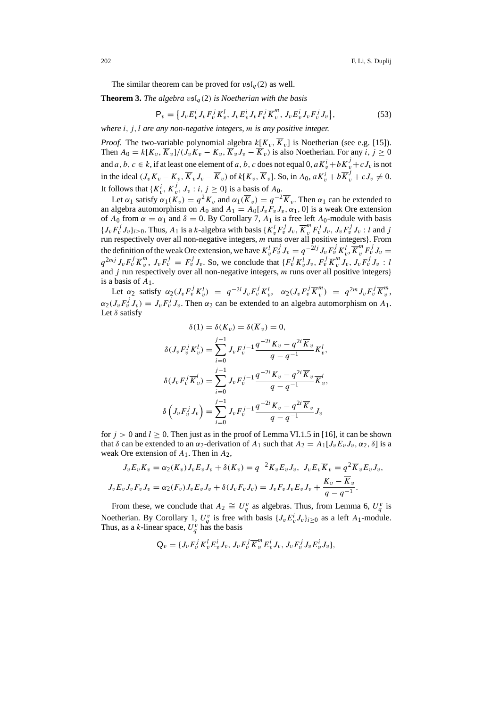The similar theorem can be proved for  $v\mathfrak{sl}_q(2)$  as well.

**Theorem 3.** *The algebra*  $\mathfrak{v}\mathfrak{sl}_q(2)$  *is Noetherian with the basis* 

$$
\mathsf{P}_{v} = \left\{ J_{v} E_{v}^{i} J_{v} F_{v}^{j} K_{v}^{l}, J_{v} E_{v}^{i} J_{v} F_{v}^{j} \overline{K}_{v}^{m}, J_{v} E_{v}^{i} J_{v} F_{v}^{j} J_{v} \right\},\tag{53}
$$

*where* i, j, l *are any non-negative integers,* m *is any positive integer.*

*Proof.* The two-variable polynomial algebra  $k[K_v, \overline{K}_v]$  is Noetherian (see e.g. [15]). Then  $A_0 = k[K_v, \overline{K}_v]/(\overline{J}_v K_v - K_v, \overline{K}_v \overline{J}_v - \overline{K}_v)$  is also Noetherian. For any i,  $i > 0$ and a, b,  $c \in k$ , if at least one element of a, b, c does not equal 0,  $a K_v^i + b \overline{K}_v^j + c J_v$  is not in the ideal  $(J_v K_v - K_v, \overline{K}_v J_v - \overline{K}_v)$  of  $k[K_v, \overline{K}_v]$ . So, in  $A_0$ ,  $a K_v^i + b \overline{K}_v^j + c J_v \neq 0$ . It follows that  $\{K_v^i, \overline{K}_v^j, J_v : i, j \ge 0\}$  is a basis of  $A_0$ .

Let  $\alpha_1$  satisfy  $\alpha_1(K_v) = q^2 K_v$  and  $\alpha_1(\overline{K}_v) = q^{-2} \overline{K}_v$ . Then  $\alpha_1$  can be extended to an algebra automorphism on  $A_0$  and  $A_1 = A_0[J_vF_vJ_v, \alpha_1, 0]$  is a weak Ore extension of  $A_0$  from  $\alpha = \alpha_1$  and  $\delta = 0$ . By Corollary 7,  $A_1$  is a free left  $A_0$ -module with basis  $\{J_v F_v^j J_v\}_{i\geq 0}$ . Thus,  $A_1$  is a k-algebra with basis  $\{K_v^l F_v^j J_v, \overline{K}_v^m F_v^j J_v, J_v F_v^j J_v : l \text{ and } j \}$ run respectively over all non-negative integers, m runs over all positive integers}. From the definition of the weak Ore extension, we have  $K_v^l F_v^j J_v = q^{-2lj} J_v F_v^j K_v^l, \overline{K}_v^m F_v^j J_v =$ <sup>q</sup>2mj JvF<sup>j</sup> <sup>v</sup> <sup>K</sup><sup>m</sup> <sup>v</sup> , JvF<sup>j</sup> <sup>v</sup> <sup>=</sup> <sup>F</sup><sup>j</sup> <sup>v</sup> Jv. So, we conclude that {F<sup>j</sup> <sup>v</sup> K<sup>l</sup> vJv, F<sup>j</sup> <sup>v</sup> <sup>K</sup><sup>m</sup> <sup>v</sup> Jv, JvF<sup>j</sup> <sup>v</sup> Jv : l and  $j$  run respectively over all non-negative integers,  $m$  runs over all positive integers} is a basis of  $A_1$ .

Let  $\alpha_2$  satisfy  $\alpha_2(J_vF_v^jK_v^l) = q^{-2l}J_vF_v^jK_v^l$ ,  $\alpha_2(J_vF_v^j\overline{K}_v^m) = q^{2m}J_vF_v^j\overline{K}_v^m$ ,  $\alpha_2(J_vF_v^jJ_v) = J_vF_v^jJ_v$ . Then  $\alpha_2$  can be extended to an algebra automorphism on  $A_1$ . Let  $\delta$  satisfy

$$
\delta(1) = \delta(K_v) = \delta(\overline{K}_v) = 0,
$$
  
\n
$$
\delta(J_v F_v^j K_v^l) = \sum_{i=0}^{j-1} J_v F_v^{j-1} \frac{q^{-2i} K_v - q^{2i} \overline{K}_v}{q - q^{-1}} K_v^l,
$$
  
\n
$$
\delta(J_v F_v^j \overline{K}_v^l) = \sum_{i=0}^{j-1} J_v F_v^{j-1} \frac{q^{-2i} K_v - q^{2i} \overline{K}_v}{q - q^{-1}} \overline{K}_v^l,
$$
  
\n
$$
\delta\left(J_v F_v^j J_v\right) = \sum_{i=0}^{j-1} J_v F_v^{j-1} \frac{q^{-2i} K_v - q^{2i} \overline{K}_v}{q - q^{-1}} J_v
$$

for  $j > 0$  and  $l \ge 0$ . Then just as in the proof of Lemma VI.1.5 in [16], it can be shown that  $\delta$  can be extended to an  $\alpha_2$ -derivation of  $A_1$  such that  $A_2 = A_1[J_vE_vJ_v, \alpha_2, \delta]$  is a weak Ore extension of  $A_1$ . Then in  $A_2$ ,

$$
J_v E_v K_v = \alpha_2(K_v) J_v E_v J_v + \delta(K_v) = q^{-2} K_v E_v J_v, \ J_v E_v \overline{K}_v = q^2 \overline{K}_v E_v J_v,
$$
  

$$
J_v E_v J_v F_v J_v = \alpha_2(F_v) J_v E_v J_v + \delta(J_v F_v J_v) = J_v F_v J_v E_v J_v + \frac{K_v - \overline{K}_v}{q - q^{-1}}.
$$

From these, we conclude that  $A_2 \cong U_q^v$  as algebras. Thus, from Lemma 6,  $U_q^v$  is Noetherian. By Corollary 1,  $U_q^v$  is free with basis  $\{J_v E_v^i J_v\}_{i\geq 0}$  as a left  $A_1$ -module. Thus, as a k-linear space,  $U_q^v$  has the basis

$$
Q_v = \{J_v F_v^j K_v^l E_v^i J_v, J_v F_v^j \overline{K}_v^m E_v^i J_v, J_v F_v^j J_v E_v^i J_v\},\
$$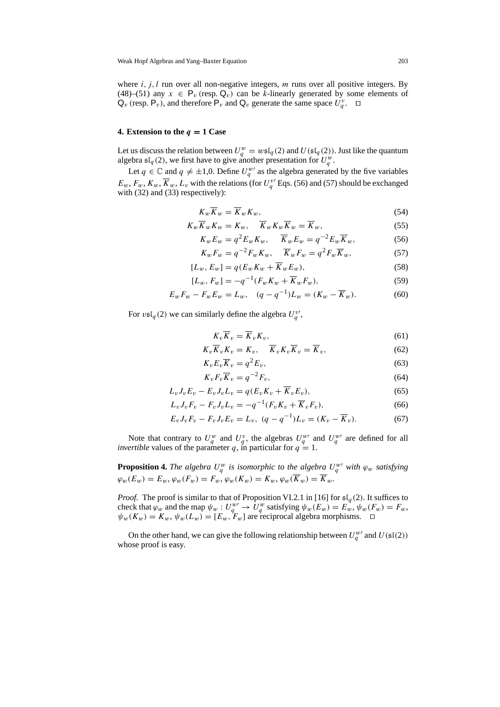where  $i, j, l$  run over all non-negative integers, m runs over all positive integers. By (48)–(51) any  $x \in P_v$  (resp.  $Q_v$ ) can be k-linearly generated by some elements of  $\mathsf{Q}_{v}$  (resp.  $\mathsf{P}_{v}$ ), and therefore  $\mathsf{P}_{v}$  and  $\mathsf{Q}_{v}$  generate the same space  $U_{q}^{v}$ .  $\Box$ 

#### **4. Extension to the** *q* **= 1 Case**

Let us discuss the relation between  $U_q^w = w \mathfrak{sl}_q(2)$  and  $U(\mathfrak{sl}_q(2))$ . Just like the quantum algebra  $\mathfrak{sl}_q(2)$ , we first have to give another presentation for  $U_q^w$ .

Let  $q \in \mathbb{C}$  and  $q \neq \pm 1,0$ . Define  $U_q^{w'}$  as the algebra generated by the five variables  $E_w$ ,  $F_w$ ,  $K_w$ ,  $\overline{K}_w$ ,  $L_v$  with the relations (for  $U_q^{\nu}$  Eqs. (56) and (57) should be exchanged with (32) and (33) respectively):

$$
K_w \overline{K}_w = \overline{K}_w K_w,\tag{54}
$$

$$
K_w \overline{K}_w K_w = K_w, \quad \overline{K}_w K_w \overline{K}_w = \overline{K}_w,
$$
\n<sup>(55)</sup>

$$
K_w E_w = q^2 E_w K_w, \quad \overline{K}_w E_w = q^{-2} E_w \overline{K}_w,
$$
\n(56)

$$
K_w F_w = q^{-2} F_w K_w, \quad \overline{K}_w F_w = q^2 F_w \overline{K}_w, \tag{57}
$$

$$
[L_w, E_w] = q(E_w K_w + \overline{K}_w E_w), \qquad (58)
$$

$$
[L_w, F_w] = -q^{-1}(F_w K_w + \overline{K}_w F_w),
$$
\n(59)

$$
E_w F_w - F_w E_w = L_w, \quad (q - q^{-1}) L_w = (K_w - \overline{K}_w).
$$
 (60)

For  $\mathfrak{v}\mathfrak{sl}_q(2)$  we can similarly define the algebra  $U_q^{\mathfrak{v}'}$ ,

$$
K_v \overline{K}_v = \overline{K}_v K_v,\tag{61}
$$

$$
K_v \overline{K}_v K_v = K_v, \quad \overline{K}_v K_v \overline{K}_v = \overline{K}_v,
$$
\n(62)

$$
K_v E_v \overline{K}_v = q^2 E_v,\tag{63}
$$

$$
K_v F_v \overline{K}_v = q^{-2} F_v,\tag{64}
$$

$$
L_v J_v E_v - E_v J_v L_v = q(E_v K_v + \overline{K}_v E_v),
$$
\n<sup>(65)</sup>

$$
L_v J_v F_v - F_v J_v L_v = -q^{-1} (F_v K_v + \overline{K}_v F_v),
$$
\n(66)

$$
E_v J_v F_v - F_v J_v E_v = L_v, \ (q - q^{-1}) L_v = (K_v - \overline{K}_v).
$$
 (67)

Note that contrary to  $U_q^w$  and  $U_q^v$ , the algebras  $U_q^{w'}$  and  $U_q^{w'}$  are defined for all *invertible* values of the parameter q, in particular for  $q = 1$ .

**Proposition 4.** The algebra  $U_q^w$  is isomorphic to the algebra  $U_q^{w'}$  with  $\varphi_w$  satisfying  $\varphi_w(E_w) = E_w$ ,  $\varphi_w(F_w) = F_w$ ,  $\varphi_w(K_w) = K_w$ ,  $\varphi_w(\overline{K}_w) = \overline{K}_w$ .

*Proof.* The proof is similar to that of Proposition VI.2.1 in [16] for  $\mathfrak{sl}_q(2)$ . It suffices to check that  $\varphi_w$  and the map  $\psi_w : U_q^w \to U_q^w$  satisfying  $\psi_w(E_w) = E_w$ ,  $\psi_w(F_w) = F_w$ ,  $\psi_w(K_w) = K_w, \psi_w(L_w) = [E_w, F_w]$  are reciprocal algebra morphisms.  $\Box$ 

On the other hand, we can give the following relationship between  $U_q^{w'}$  and  $U(\mathfrak{sl}(2))$ whose proof is easy.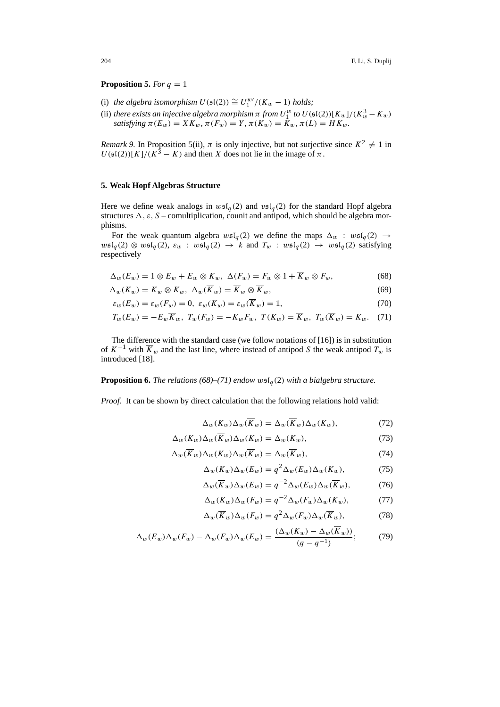#### **Proposition 5.** *For*  $q = 1$

- (i) *the algebra isomorphism*  $U(\mathfrak{sl}(2)) \cong U_1^{w} / (K_w 1)$  *holds*;
- (ii) *there exists an injective algebra morphism*  $\pi$  *from*  $U_{1}^{w}$  *to*  $U(\mathfrak{sl}(2))[K_{w}]/(K_{w}^{3} K_{w})$ *satisfying*  $\pi(E_w) = XK_w$ ,  $\pi(F_w) = Y$ ,  $\pi(K_w) = K_w$ ,  $\pi(L) = HK_w$ .

*Remark 9.* In Proposition 5(ii),  $\pi$  is only injective, but not surjective since  $K^2 \neq 1$  in  $U(\mathfrak{sl}(2))[K]/(K^3 - K)$  and then X does not lie in the image of  $\pi$ .

## **5. Weak Hopf Algebras Structure**

Here we define weak analogs in  $w\mathfrak{sl}_q(2)$  and  $v\mathfrak{sl}_q(2)$  for the standard Hopf algebra structures  $\Delta$ ,  $\varepsilon$ , S – comultiplication, counit and antipod, which should be algebra morphisms.

For the weak quantum algebra  $w\mathfrak{sl}_a(2)$  we define the maps  $\Delta_w$  :  $w\mathfrak{sl}_a(2) \rightarrow$  $w\mathfrak{sl}_q(2)\otimes w\mathfrak{sl}_q(2), \varepsilon_w$ :  $w\mathfrak{sl}_q(2) \to k$  and  $T_w$ :  $w\mathfrak{sl}_q(2) \to w\mathfrak{sl}_q(2)$  satisfying respectively

$$
\Delta_w(E_w) = 1 \otimes E_w + E_w \otimes K_w, \ \Delta(F_w) = F_w \otimes 1 + \overline{K}_w \otimes F_w, \tag{68}
$$

$$
\Delta_w(K_w) = K_w \otimes K_w, \ \Delta_w(\overline{K}_w) = \overline{K}_w \otimes \overline{K}_w,\tag{69}
$$

$$
\varepsilon_w(E_w) = \varepsilon_w(F_w) = 0, \ \varepsilon_w(K_w) = \varepsilon_w(\overline{K}_w) = 1,\tag{70}
$$

$$
T_w(E_w) = -E_w \overline{K}_w, \ T_w(F_w) = -K_w F_w, \ T(K_w) = \overline{K}_w, \ T_w(\overline{K}_w) = K_w. \tag{71}
$$

The difference with the standard case (we follow notations of [16]) is in substitution of  $K^{-1}$  with  $\overline{K}_w$  and the last line, where instead of antipod S the weak antipod  $T_w$  is introduced [18].

### **Proposition 6.** *The relations* (68)–(71) endow  $w\mathfrak{sl}_q(2)$  *with a bialgebra structure.*

*Proof.* It can be shown by direct calculation that the following relations hold valid:

$$
\Delta_w(K_w)\Delta_w(\overline{K}_w) = \Delta_w(\overline{K}_w)\Delta_w(K_w),\tag{72}
$$

$$
\Delta_w(K_w)\Delta_w(\overline{K}_w)\Delta_w(K_w) = \Delta_w(K_w),\tag{73}
$$

$$
\Delta_w(\overline{K}_w)\Delta_w(K_w)\Delta_w(\overline{K}_w) = \Delta_w(\overline{K}_w),\tag{74}
$$

$$
\Delta_w(K_w)\Delta_w(E_w) = q^2 \Delta_w(E_w)\Delta_w(K_w),\tag{75}
$$

$$
\Delta_w(\overline{K}_w)\Delta_w(E_w) = q^{-2}\Delta_w(E_w)\Delta_w(\overline{K}_w),\tag{76}
$$

$$
\Delta_w(K_w)\Delta_w(F_w) = q^{-2}\Delta_w(F_w)\Delta_w(K_w),\tag{77}
$$

$$
\Delta_w(\overline{K}_w)\Delta_w(F_w) = q^2 \Delta_w(F_w)\Delta_w(\overline{K}_w),\tag{78}
$$

$$
\Delta_w(E_w)\Delta_w(F_w) - \Delta_w(F_w)\Delta_w(E_w) = \frac{(\Delta_w(K_w) - \Delta_w(\overline{K}_w))}{(q - q^{-1})};\tag{79}
$$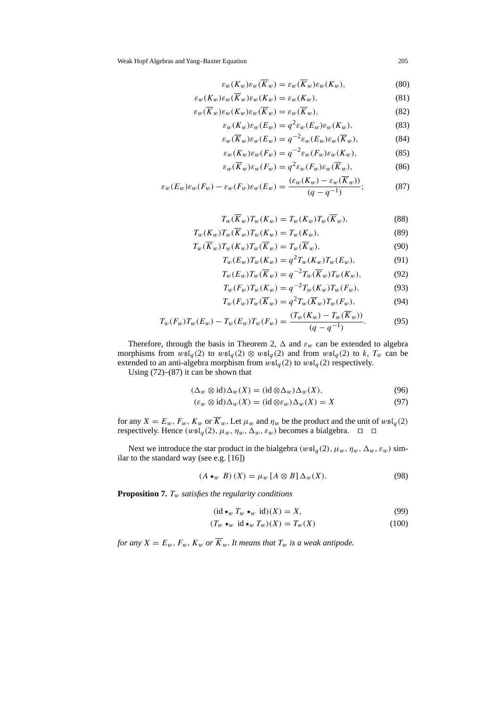$$
\varepsilon_w(K_w)\varepsilon_w(\overline{K}_w) = \varepsilon_w(\overline{K}_w)\varepsilon_w(K_w),\tag{80}
$$

$$
\varepsilon_w(K_w)\varepsilon_w(\overline{K}_w)\varepsilon_w(K_w) = \varepsilon_w(K_w),\tag{81}
$$

$$
\varepsilon_w(\overline{K}_w)\varepsilon_w(K_w)\varepsilon_w(\overline{K}_w) = \varepsilon_w(\overline{K}_w),\tag{82}
$$

$$
\varepsilon_w(K_w)\varepsilon_w(E_w) = q^2\varepsilon_w(E_w)\varepsilon_w(K_w),\tag{83}
$$

$$
\varepsilon_w(\overline{K}_w)\varepsilon_w(E_w) = q^{-2}\varepsilon_w(E_w)\varepsilon_w(\overline{K}_w),\tag{84}
$$

$$
\varepsilon_w(K_w)\varepsilon_w(F_w) = q^{-2}\varepsilon_w(F_w)\varepsilon_w(K_w),\tag{85}
$$

$$
\varepsilon_w(\overline{K}_w)\varepsilon_w(F_w) = q^2\varepsilon_w(F_w)\varepsilon_w(\overline{K}_w),\tag{86}
$$

$$
\varepsilon_w(E_w)\varepsilon_w(F_w) - \varepsilon_w(F_w)\varepsilon_w(E_w) = \frac{(\varepsilon_w(K_w) - \varepsilon_w(K_w))}{(q - q^{-1})};\tag{87}
$$

$$
T_w(\overline{K}_w)T_w(K_w) = T_w(K_w)T_w(\overline{K}_w),\tag{88}
$$

$$
T_w(K_w)T_w(\overline{K}_w)T_w(K_w) = T_w(K_w),\tag{89}
$$

$$
T_w(\overline{K}_w)T_w(K_w)T_w(\overline{K}_w) = T_w(\overline{K}_w),\tag{90}
$$

$$
T_w(E_w)T_w(K_w) = q^2 T_w(K_w)T_w(E_w),
$$
\n(91)

$$
T_w(E_w)T_w(\overline{K}_w) = q^{-2}T_w(\overline{K}_w)T_w(K_w),\tag{92}
$$

$$
T_w(F_w)T_w(K_w) = q^{-2}T_w(K_w)T_w(F_w),
$$
\n(93)

$$
T_w(F_w)T_w(\overline{K}_w) = q^2 T_w(\overline{K}_w)T_w(F_w),\tag{94}
$$

$$
T_w(F_w)T_w(E_w) - T_w(E_w)T_w(F_w) = \frac{(T_w(K_w) - T_w(K_w))}{(q - q^{-1})}.
$$
\n(95)

Therefore, through the basis in Theorem 2,  $\Delta$  and  $\varepsilon_w$  can be extended to algebra morphisms from  $wsI_q(2)$  to  $wsI_q(2) \otimes wsI_q(2)$  and from  $wsI_q(2)$  to k,  $T_w$  can be extended to an anti-algebra morphism from  $wsI_q(2)$  to  $wsI_q(2)$  respectively.

Using  $(72)$ – $(87)$  it can be shown that

$$
(\Delta_w \otimes \text{id})\Delta_w(X) = (\text{id} \otimes \Delta_w)\Delta_w(X),\tag{96}
$$

$$
(\varepsilon_w \otimes id)\Delta_w(X) = (id \otimes \varepsilon_w)\Delta_w(X) = X \tag{97}
$$

for any  $X = E_w$ ,  $F_w$ ,  $K_w$  or  $\overline{K}_w$ . Let  $\mu_w$  and  $\eta_w$  be the product and the unit of  $w\mathfrak{sl}_q(2)$ respectively. Hence  $(w\mathfrak{sl}_q(2), \mu_w, \eta_w, \Delta_w, \varepsilon_w)$  becomes a bialgebra.  $\Box$ 

Next we introduce the star product in the bialgebra ( $w \mathfrak{sl}_q(2)$ ,  $\mu_w$ ,  $\eta_w$ ,  $\Delta_w$ ,  $\varepsilon_w$ ) similar to the standard way (see e.g. [16])

$$
(A \star_w B)(X) = \mu_w [A \otimes B] \Delta_w(X). \tag{98}
$$

**Proposition 7.** Tw *satisfies the regularity conditions*

 $\overline{\phantom{a}}$ 

$$
id \star_w T_w \star_w id)(X) = X,\tag{99}
$$

$$
(T_w \star_w \text{id} \star_w T_w)(X) = T_w(X) \tag{100}
$$

*for any*  $X = E_w$ ,  $F_w$ ,  $K_w$  *or*  $\overline{K}_w$ *. It means that*  $T_w$  *is a weak antipode.*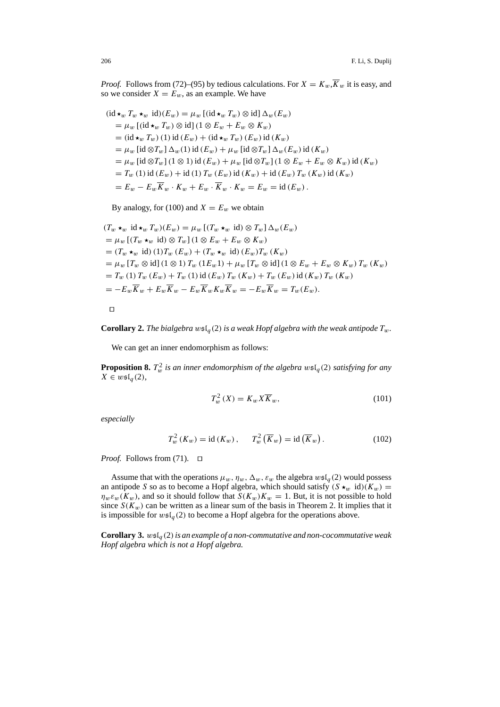*Proof.* Follows from (72)–(95) by tedious calculations. For  $X = K_w, \overline{K}_w$  it is easy, and so we consider  $X = E_w$ , as an example. We have

$$
(\mathrm{id} \star_w T_w \star_w \mathrm{id})(E_w) = \mu_w [(\mathrm{id} \star_w T_w) \otimes \mathrm{id}] \Delta_w(E_w)
$$
  
\n
$$
= \mu_w [(\mathrm{id} \star_w T_w) \otimes \mathrm{id}] (1 \otimes E_w + E_w \otimes K_w)
$$
  
\n
$$
= (\mathrm{id} \star_w T_w) (1) \mathrm{id} (E_w) + (\mathrm{id} \star_w T_w) (E_w) \mathrm{id} (K_w)
$$
  
\n
$$
= \mu_w [ \mathrm{id} \otimes T_w] \Delta_w(1) \mathrm{id} (E_w) + \mu_w [ \mathrm{id} \otimes T_w] \Delta_w(E_w) \mathrm{id} (K_w)
$$
  
\n
$$
= \mu_w [ \mathrm{id} \otimes T_w] (1 \otimes 1) \mathrm{id} (E_w) + \mu_w [ \mathrm{id} \otimes T_w] (1 \otimes E_w + E_w \otimes K_w) \mathrm{id} (K_w)
$$
  
\n
$$
= T_w (1) \mathrm{id} (E_w) + \mathrm{id} (1) T_w (E_w) \mathrm{id} (K_w) + \mathrm{id} (E_w) T_w (K_w) \mathrm{id} (K_w)
$$
  
\n
$$
= E_w - E_w \overline{K}_w \cdot K_w + E_w \cdot \overline{K}_w \cdot K_w = E_w = \mathrm{id} (E_w).
$$

By analogy, for (100) and  $X = E_w$  we obtain

$$
(T_w \star_w \operatorname{id} \star_w T_w)(E_w) = \mu_w \left[ (T_w \star_w \operatorname{id}) \otimes T_w \right] \Delta_w(E_w)
$$
  
=  $\mu_w \left[ (T_w \star_w \operatorname{id}) \otimes T_w \right] (1 \otimes E_w + E_w \otimes K_w)$   
=  $(T_w \star_w \operatorname{id}) (1) T_w (E_w) + (T_w \star_w \operatorname{id}) (E_w) T_w (K_w)$   
=  $\mu_w \left[ T_w \otimes \operatorname{id} \right] (1 \otimes 1) T_w (1 E_w 1) + \mu_w \left[ T_w \otimes \operatorname{id} \right] (1 \otimes E_w + E_w \otimes K_w) T_w (K_w)$   
=  $T_w (1) T_w (E_w) + T_w (1) \operatorname{id} (E_w) T_w (K_w) + T_w (E_w) \operatorname{id} (K_w) T_w (K_w)$   
=  $-E_w \overline{K}_w + E_w \overline{K}_w - E_w \overline{K}_w K_w \overline{K}_w = -E_w \overline{K}_w = T_w (E_w).$ 

 $\Box$ 

**Corollary 2.** *The bialgebra*  $w \in I_q(2)$  *is a weak Hopf algebra with the weak antipode*  $T_w$ .

We can get an inner endomorphism as follows:

**Proposition 8.**  $T_w^2$  *is an inner endomorphism of the algebra*  $w\mathfrak{sl}_q(2)$  *satisfying for any*  $X \in w \mathfrak{sl}_q(2)$ ,

$$
T_w^2(X) = K_w X \overline{K}_w, \qquad (101)
$$

*especially*

$$
T_w^2(K_w) = \text{id}(K_w), \qquad T_w^2(\overline{K}_w) = \text{id}(\overline{K}_w).
$$
 (102)

*Proof.* Follows from (71).  $\Box$ 

Assume that with the operations  $\mu_w$ ,  $\eta_w$ ,  $\Delta_w$ ,  $\varepsilon_w$  the algebra  $w\mathfrak{sl}_q(2)$  would possess an antipode S so as to become a Hopf algebra, which should satisfy  $(S \star_w id)(K_w) =$  $\eta_w \varepsilon_w(K_w)$ , and so it should follow that  $S(K_w)K_w = 1$ . But, it is not possible to hold since  $S(K_w)$  can be written as a linear sum of the basis in Theorem 2. It implies that it is impossible for  $w\mathfrak{sl}_q(2)$  to become a Hopf algebra for the operations above.

**Corollary 3.**  $wsI_q(2)$  *is an example of a non-commutative and non-cocommutative weak Hopf algebra which is not a Hopf algebra.*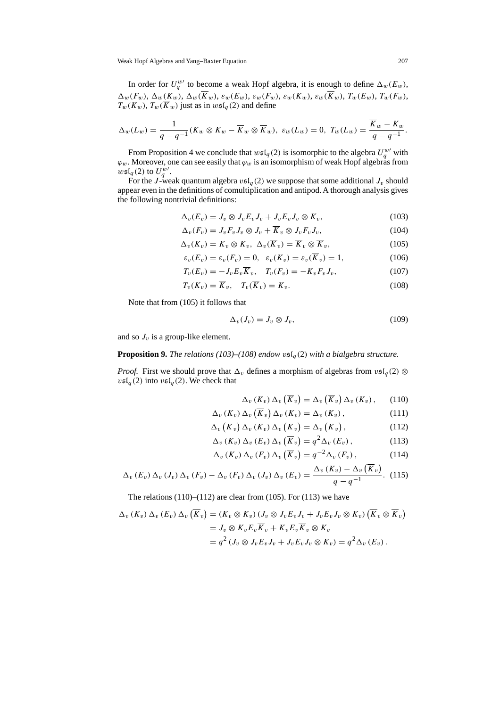In order for  $U_q^{w}$  to become a weak Hopf algebra, it is enough to define  $\Delta_w(E_w)$ ,  $\Delta_w(F_w),\, \Delta_w(K_w),\, \Delta_w(\overline{K}_w),\, \varepsilon_w(E_w),\, \varepsilon_w(F_w),\, \varepsilon_w(K_w),\, \varepsilon_w(\overline{K}_w),\, T_w(E_w),\, T_w(F_w),$  $T_w(K_w)$ ,  $T_w(\overline{K}_w)$  just as in  $wsI_q(2)$  and define

$$
\Delta_w(L_w) = \frac{1}{q - q^{-1}}(K_w \otimes K_w - \overline{K}_w \otimes \overline{K}_w), \ \varepsilon_w(L_w) = 0, \ T_w(L_w) = \frac{\overline{K}_w - K_w}{q - q^{-1}}.
$$

From Proposition 4 we conclude that  $w\mathfrak{sl}_q(2)$  is isomorphic to the algebra  $U_q^{w\prime}$  with  $\varphi_w$ . Moreover, one can see easily that  $\varphi_w$  is an isomorphism of weak Hopf algebras from  $w\mathfrak{sl}_q(2)$  to  $U_q^{w'}$ .

For the J-weak quantum algebra  $v \in I_q(2)$  we suppose that some additional  $J_v$  should appear even in the definitions of comultiplication and antipod. A thorough analysis gives the following nontrivial definitions:

$$
\Delta_v(E_v) = J_v \otimes J_v E_v J_v + J_v E_v J_v \otimes K_v, \qquad (103)
$$

$$
\Delta_v(F_v) = J_v F_v J_v \otimes J_v + \overline{K}_v \otimes J_v F_v J_v, \qquad (104)
$$

$$
\Delta_v(K_v) = K_v \otimes K_v, \ \Delta_v(\overline{K}_v) = \overline{K}_v \otimes \overline{K}_v, \tag{105}
$$

$$
\varepsilon_v(E_v) = \varepsilon_v(F_v) = 0, \quad \varepsilon_v(K_v) = \varepsilon_v(\overline{K}_v) = 1,
$$
\n(106)

$$
T_v(E_v) = -J_v E_v \overline{K}_v, \quad T_v(F_v) = -K_v F_v J_v,
$$
\n(107)

$$
T_v(K_v) = \overline{K}_v, \quad T_v(\overline{K}_v) = K_v.
$$
\n(108)

Note that from (105) it follows that

$$
\Delta_v(J_v) = J_v \otimes J_v,\tag{109}
$$

and so  $J_v$  is a group-like element.

**Proposition 9.** *The relations* (103)–(108) endow  $\mathfrak{vsl}_q(2)$  *with a bialgebra structure.* 

*Proof.* First we should prove that  $\Delta_v$  defines a morphism of algebras from  $v \mathfrak{sl}_q(2) \otimes$  $v\mathfrak{sl}_q(2)$  into  $v\mathfrak{sl}_q(2)$ . We check that

$$
\Delta_v(K_v) \Delta_v(\overline{K}_v) = \Delta_v(\overline{K}_v) \Delta_v(K_v), \qquad (110)
$$

$$
\Delta_v(K_v) \Delta_v(\overline{K}_v) \Delta_v(K_v) = \Delta_v(K_v), \qquad (111)
$$

$$
\Delta_v(\overline{K}_v) \Delta_v(K_v) \Delta_v(\overline{K}_v) = \Delta_v(\overline{K}_v), \qquad (112)
$$

$$
\Delta_v(K_v) \Delta_v(E_v) \Delta_v(\overline{K}_v) = q^2 \Delta_v(E_v), \qquad (113)
$$

$$
\Delta_v(K_v) \Delta_v(F_v) \Delta_v(\overline{K}_v) = q^{-2} \Delta_v(F_v), \qquad (114)
$$

$$
\Delta_v \left( E_v \right) \Delta_v \left( J_v \right) \Delta_v \left( F_v \right) - \Delta_v \left( F_v \right) \Delta_v \left( J_v \right) \Delta_v \left( E_v \right) = \frac{\Delta_v \left( K_v \right) - \Delta_v \left( \overline{K}_v \right)}{q - q^{-1}}. \tag{115}
$$

The relations  $(110)$ – $(112)$  are clear from  $(105)$ . For  $(113)$  we have

$$
\Delta_v (K_v) \Delta_v (E_v) \Delta_v (\overline{K}_v) = (K_v \otimes K_v) (J_v \otimes J_v E_v J_v + J_v E_v J_v \otimes K_v) (\overline{K}_v \otimes \overline{K}_v)
$$
  
=  $J_v \otimes K_v E_v \overline{K}_v + K_v E_v \overline{K}_v \otimes K_v$   
=  $q^2 (J_v \otimes J_v E_v J_v + J_v E_v J_v \otimes K_v) = q^2 \Delta_v (E_v).$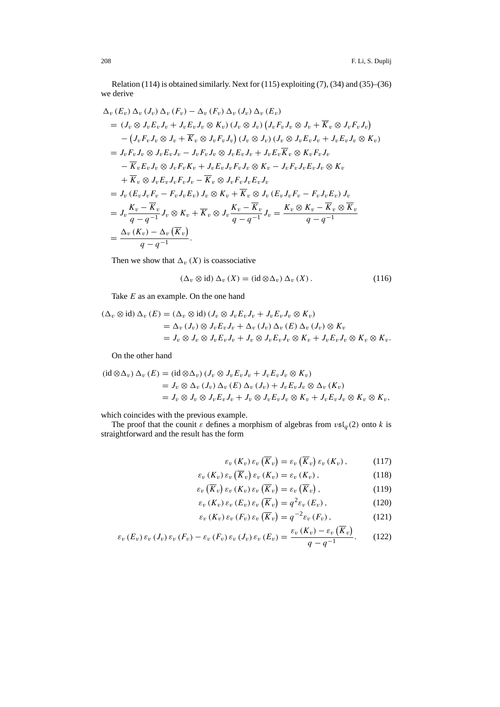Relation (114) is obtained similarly. Next for (115) exploiting (7), (34) and (35)–(36) we derive

$$
\Delta_v (E_v) \Delta_v (J_v) \Delta_v (F_v) - \Delta_v (F_v) \Delta_v (J_v) \Delta_v (E_v)
$$
\n
$$
= (J_v \otimes J_v E_v J_v + J_v E_v J_v \otimes K_v) (J_v \otimes J_v) (J_v F_v J_v \otimes J_v + \overline{K}_v \otimes J_v F_v J_v)
$$
\n
$$
- (J_v F_v J_v \otimes J_v + \overline{K}_v \otimes J_v F_v J_v) (J_v \otimes J_v) (J_v \otimes J_v E_v J_v + J_v E_v J_v \otimes K_v)
$$
\n
$$
= J_v F_v J_v \otimes J_v E_v J_v - J_v F_v J_v \otimes J_v E_v J_v + J_v E_v \overline{K}_v \otimes K_v F_v J_v
$$
\n
$$
- \overline{K}_v E_v J_v \otimes J_v F_v K_v + J_v E_v J_v F_v J_v \otimes K_v - J_v F_v J_v E_v J_v \otimes K_v
$$
\n
$$
+ \overline{K}_v \otimes J_v E_v J_v F_v J_v - \overline{K}_v \otimes J_v F_v J_v E_v J_v
$$
\n
$$
= J_v (E_v J_v F_v - F_v J_v E_v) J_v \otimes K_v + \overline{K}_v \otimes J_v (E_v J_v F_v - F_v J_v E_v) J_v
$$
\n
$$
= J_v \frac{K_v - \overline{K}_v}{q - q^{-1}} J_v \otimes K_v + \overline{K}_v \otimes J_v \frac{K_v - \overline{K}_v}{q - q^{-1}} J_v = \frac{K_v \otimes K_v - \overline{K}_v \otimes \overline{K}_v}{q - q^{-1}}
$$
\n
$$
= \frac{\Delta_v (K_v) - \Delta_v (\overline{K}_v)}{q - q^{-1}}.
$$

Then we show that  $\Delta_v(X)$  is coassociative

$$
(\Delta_v \otimes id) \Delta_v(X) = (id \otimes \Delta_v) \Delta_v(X).
$$
 (116)

Take E as an example. On the one hand

$$
(\Delta_v \otimes id) \Delta_v (E) = (\Delta_v \otimes id) (J_v \otimes J_v E_v J_v + J_v E_v J_v \otimes K_v)
$$
  
=  $\Delta_v (J_v) \otimes J_v E_v J_v + \Delta_v (J_v) \Delta_v (E) \Delta_v (J_v) \otimes K_v$   
=  $J_v \otimes J_v \otimes J_v E_v J_v + J_v \otimes J_v E_v J_v \otimes K_v + J_v E_v J_v \otimes K_v \otimes K_v.$ 

On the other hand

$$
\begin{aligned} (\mathrm{id}\otimes\Delta_v)\,\Delta_v\,(E) &= (\mathrm{id}\otimes\Delta_v)\,(J_v\otimes J_v E_v J_v + J_v E_v J_v \otimes K_v) \\ &= J_v\otimes\Delta_v\,(J_v)\,\Delta_v\,(E)\,\Delta_v\,(J_v) + J_v E_v J_v \otimes \Delta_v\,(K_v) \\ &= J_v\otimes J_v \otimes J_v E_v J_v + J_v \otimes J_v E_v J_v \otimes K_v + J_v E_v J_v \otimes K_v \otimes K_v, \end{aligned}
$$

which coincides with the previous example.

The proof that the counit  $\varepsilon$  defines a morphism of algebras from  $v\mathfrak{sl}_q(2)$  onto k is straightforward and the result has the form

$$
\varepsilon_v(K_v)\,\varepsilon_v\left(\overline{K}_v\right)=\varepsilon_v\left(\overline{K}_v\right)\varepsilon_v\left(K_v\right),\qquad\qquad(117)
$$

$$
\varepsilon_v(K_v)\,\varepsilon_v\left(\overline{K}_v\right)\varepsilon_v\left(K_v\right)=\varepsilon_v\left(K_v\right),\tag{118}
$$

$$
\varepsilon_v\left(\overline{K}_v\right)\varepsilon_v\left(K_v\right)\varepsilon_v\left(\overline{K}_v\right)=\varepsilon_v\left(\overline{K}_v\right),\tag{119}
$$

$$
\varepsilon_v \left( K_v \right) \varepsilon_v \left( E_v \right) \varepsilon_v \left( \overline{K}_v \right) = q^2 \varepsilon_v \left( E_v \right), \tag{120}
$$

$$
\varepsilon_v(K_v)\,\varepsilon_v(F_v)\,\varepsilon_v\left(\overline{K}_v\right) = q^{-2}\varepsilon_v(F_v)\,,\tag{121}
$$

$$
\varepsilon_v \left( E_v \right) \varepsilon_v \left( J_v \right) \varepsilon_v \left( F_v \right) - \varepsilon_v \left( F_v \right) \varepsilon_v \left( J_v \right) \varepsilon_v \left( E_v \right) = \frac{\varepsilon_v \left( K_v \right) - \varepsilon_v \left( \overline{K}_v \right)}{q - q^{-1}}. \tag{122}
$$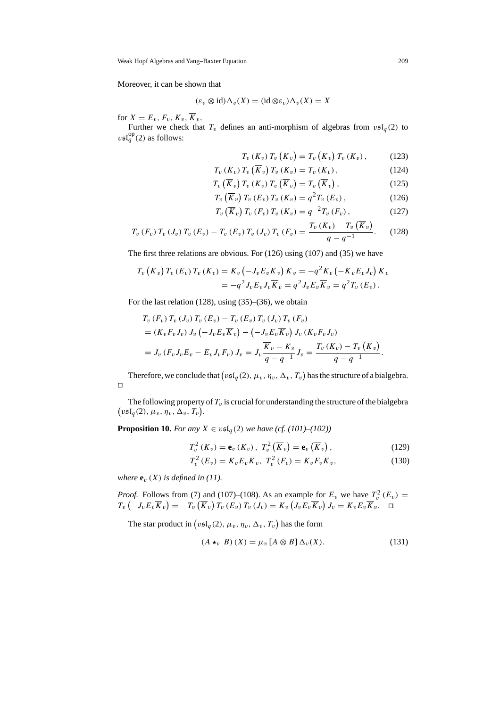Moreover, it can be shown that

$$
(\varepsilon_v \otimes id)\Delta_v(X) = (id \otimes \varepsilon_v)\Delta_v(X) = X
$$

for  $X = E_v$ ,  $F_v$ ,  $K_v$ ,  $\overline{K}_v$ .

Further we check that  $T_v$  defines an anti-morphism of algebras from  $vsI_q(2)$  to  $v\mathfrak{sl}_q^{\rm op}(2)$  as follows:

$$
T_v(K_v) T_v(\overline{K}_v) = T_v(\overline{K}_v) T_v(K_v), \qquad (123)
$$

$$
T_v(K_v) T_v(\overline{K}_v) T_v(K_v) = T_v(K_v), \qquad (124)
$$

$$
T_v\left(\overline{K}_v\right)T_v\left(K_v\right)T_v\left(\overline{K}_v\right)=T_v\left(\overline{K}_v\right),\tag{125}
$$

$$
T_v\left(\overline{K}_v\right)T_v\left(E_v\right)T_v\left(K_v\right) = q^2T_v\left(E_v\right),\tag{126}
$$

$$
T_v\left(\overline{K}_v\right)T_v\left(F_v\right)T_v\left(K_v\right) = q^{-2}T_v\left(F_v\right),\tag{127}
$$

$$
T_v \left( F_v \right) T_v \left( J_v \right) T_v \left( E_v \right) - T_v \left( E_v \right) T_v \left( J_v \right) T_v \left( F_v \right) = \frac{T_v \left( K_v \right) - T_v \left( K_v \right)}{q - q^{-1}}. \tag{128}
$$

The first three relations are obvious. For (126) using (107) and (35) we have

$$
T_v(\overline{K}_v) T_v(E_v) T_v(K_v) = K_v(-J_v E_v \overline{K}_v) \overline{K}_v = -q^2 K_v(-\overline{K}_v E_v J_v) \overline{K}_v
$$
  
=  $-q^2 J_v E_v J_v \overline{K}_v = q^2 J_v E_v \overline{K}_v = q^2 T_v(E_v)$ .

For the last relation (128), using (35)–(36), we obtain

$$
T_v (F_v) T_v (J_v) T_v (E_v) - T_v (E_v) T_v (J_v) T_v (F_v)
$$
  
=  $(K_v F_v J_v) J_v (-J_v E_v \overline{K}_v) - (-J_v E_v \overline{K}_v) J_v (K_v F_v J_v)$   
=  $J_v (F_v J_v E_v - E_v J_v F_v) J_v = J_v \frac{\overline{K}_v - K_v}{q - q^{-1}} J_v = \frac{T_v (K_v) - T_v (\overline{K}_v)}{q - q^{-1}}.$ 

Therefore, we conclude that  $(v \mathfrak{sl}_q(2), \mu_v, \eta_v, \Delta_v, T_v)$  has the structure of a bialgebra.  $\Box$ 

The following property of  $T_v$  is crucial for understanding the structure of the bialgebra  $(v \mathfrak{sl}_q(2), \mu_v, \eta_v, \Delta_v, T_v).$ 

**Proposition 10.** *For any*  $X \in v \in I_q(2)$  *we have (cf. (101)–(102))* 

$$
T_v^2(K_v) = \mathbf{e}_v(K_v), \ T_v^2(\overline{K}_v) = \mathbf{e}_v(\overline{K}_v), \qquad (129)
$$

$$
T_v^2(E_v) = K_v E_v \overline{K}_v, \ T_v^2(F_v) = K_v F_v \overline{K}_v,
$$
\n(130)

*where*  $\mathbf{e}_v(X)$  *is defined in (11).* 

*Proof.* Follows from (7) and (107)–(108). As an example for  $E_v$  we have  $T_v^2(E_v)$  =  $T_v\left(-J_vE_v\overline{K}_v\right)=-T_v\left(\overline{K}_v\right)T_v\left(E_v\right)T_v\left(J_v\right)=K_v\left(J_vE_v\overline{K}_v\right)J_v=K_vE_v\overline{K}_v.$   $\Box$ 

The star product in  $(v \mathfrak{sl}_q(2), \mu_v, \eta_v, \Delta_v, T_v)$  has the form

$$
(A \star_v B)(X) = \mu_v [A \otimes B] \Delta_v(X). \tag{131}
$$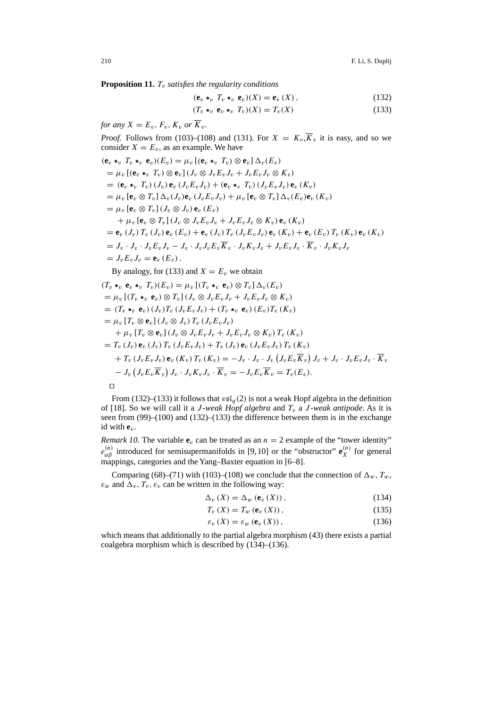**Proposition 11.**  $T_v$  *satisfies the regularity conditions* 

$$
(\mathbf{e}_v \star_v T_v \star_v \mathbf{e}_v)(X) = \mathbf{e}_v(X), \qquad (132)
$$

$$
(T_v \star_v \mathbf{e}_v \star_v T_v)(X) = T_v(X) \tag{133}
$$

*for any*  $X = E_v$ ,  $F_v$ ,  $K_v$  *or*  $\overline{K}_v$ .

*Proof.* Follows from (103)–(108) and (131). For  $X = K_v, \overline{K}_v$  it is easy, and so we consider  $X = E_v$ , as an example. We have

$$
(\mathbf{e}_{v} *_{v} T_{v} *_{v} \mathbf{e}_{v}) (E_{v}) = \mu_{v} [(\mathbf{e}_{v} *_{v} T_{v}) \otimes \mathbf{e}_{v}] \Delta_{v} (E_{v})
$$
  
\n
$$
= \mu_{v} [(\mathbf{e}_{v} *_{v} T_{v}) \otimes \mathbf{e}_{v}] (J_{v} \otimes J_{v} E_{v} J_{v} + J_{v} E_{v} J_{v} \otimes K_{v})
$$
  
\n
$$
= (\mathbf{e}_{v} *_{v} T_{v}) (J_{v}) \mathbf{e}_{v} (J_{v} E_{v} J_{v}) + (\mathbf{e}_{v} *_{v} T_{v}) (J_{v} E_{v} J_{v}) \mathbf{e}_{v} (K_{v})
$$
  
\n
$$
= \mu_{v} [\mathbf{e}_{v} \otimes T_{v}] \Delta_{v} (J_{v}) \mathbf{e}_{v} (J_{v} E_{v} J_{v}) + \mu_{v} [\mathbf{e}_{v} \otimes T_{v}] \Delta_{v} (E_{v}) \mathbf{e}_{v} (K_{v})
$$
  
\n
$$
= \mu_{v} [\mathbf{e}_{v} \otimes T_{v}] (J_{v} \otimes J_{v}) \mathbf{e}_{v} (E_{v})
$$
  
\n
$$
+ \mu_{v} [\mathbf{e}_{v} \otimes T_{v}] (J_{v} \otimes J_{v} E_{v} J_{v} + J_{v} E_{v} J_{v} \otimes K_{v}) \mathbf{e}_{v} (K_{v})
$$
  
\n
$$
= \mathbf{e}_{v} (J_{v}) T_{v} (J_{v}) \mathbf{e}_{v} (E_{v}) + \mathbf{e}_{v} (J_{v}) T_{v} (J_{v} E_{v} J_{v}) \mathbf{e}_{v} (K_{v}) + \mathbf{e}_{v} (E_{v}) T_{v} (K_{v}) \mathbf{e}_{v} (K_{v})
$$
  
\n
$$
= J_{v} \cdot J_{v} \cdot J_{v} E_{v} J_{v} - J_{v} \cdot J_{v} J_{v} E_{v} \overline{K}_{v} \cdot J_{v} K_{v} J_{v} + J_{v} E_{v} J_{v} \cdot \overline{K}_{v} \cdot J_{v} K_{v} J_{v}
$$

$$
(T_v \star_v \mathbf{e}_v \star_v T_v)(E_v) = \mu_v [(T_v \star_v \mathbf{e}_v) \otimes T_v] \Delta_v(E_v)
$$
  
\n
$$
= \mu_v [(T_v \star_v \mathbf{e}_v) \otimes T_v] (J_v \otimes J_v E_v J_v + J_v E_v J_v \otimes K_v)
$$
  
\n
$$
= (T_v \star_v \mathbf{e}_v) (J_v) T_v (J_v E_v J_v) + (T_v \star_v \mathbf{e}_v) (E_v) T_v (K_v)
$$
  
\n
$$
= \mu_v [T_v \otimes \mathbf{e}_v] (J_v \otimes J_v) T_v (J_v E_v J_v)
$$
  
\n
$$
+ \mu_v [T_v \otimes \mathbf{e}_v] (J_v \otimes J_v E_v J_v + J_v E_v J_v \otimes K_v) T_v (K_v)
$$
  
\n
$$
= T_v (J_v) \mathbf{e}_v (J_v) T_v (J_v E_v J_v) + T_v (J_v) \mathbf{e}_v (J_v E_v J_v) T_v (K_v)
$$
  
\n
$$
+ T_v (J_v E_v J_v) \mathbf{e}_v (K_v) T_v (K_v) = -J_v \cdot J_v \cdot J_v (J_v E_v \overline{K}_v) J_v + J_v \cdot J_v E_v J_v \cdot \overline{K}_v
$$
  
\n
$$
-J_v (J_v E_v \overline{K}_v) J_v \cdot J_v K_v J_v \cdot \overline{K}_v = -J_v E_v \overline{K}_v = T_v (E_v).
$$

 $\Box$ 

From (132)–(133) it follows that  $v\mathfrak{sl}_a(2)$  is not a weak Hopf algebra in the definition of [18]. So we will call it a *J*-weak Hopf algebra and  $T_v$  a *J*-weak antipode. As it is seen from (99)–(100) and (132)–(133) the difference between them is in the exchange id with **e**v.

*Remark 10.* The variable  $\mathbf{e}_v$  can be treated as an  $n = 2$  example of the "tower identity"  $e_{\alpha\beta}^{(n)}$  introduced for semisupermanifolds in [9,10] or the "obstructor"  $\mathbf{e}_X^{(n)}$  for general mappings, categories and the Yang–Baxter equation in [6–8].

Comparing (68)–(71) with (103)–(108) we conclude that the connection of  $\Delta_w$ ,  $T_w$ ,  $\varepsilon_w$  and  $\Delta_v$ ,  $T_v$ ,  $\varepsilon_v$  can be written in the following way:

$$
\Delta_v(X) = \Delta_w(\mathbf{e}_v(X)), \qquad (134)
$$

$$
T_v(X) = T_w(e_v(X)),
$$
\n(135)

$$
\varepsilon_{v}\left(X\right) = \varepsilon_{w}\left(\mathbf{e}_{v}\left(X\right)\right),\tag{136}
$$

which means that additionally to the partial algebra morphism (43) there exists a partial coalgebra morphism which is described by (134)–(136).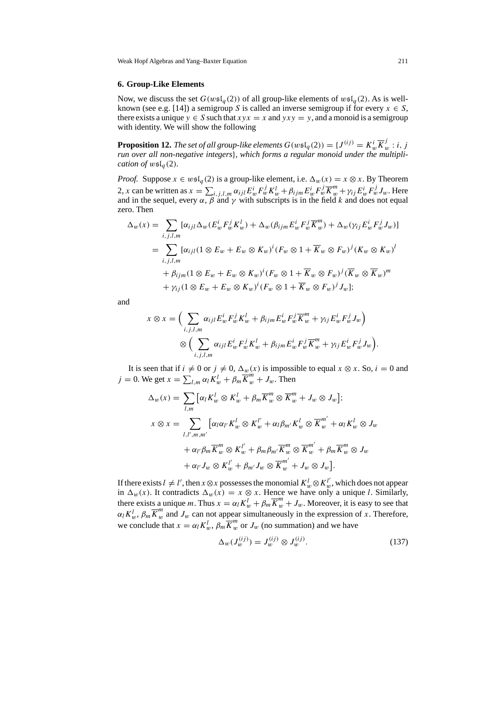#### **6. Group-Like Elements**

Now, we discuss the set  $G(w \mathfrak{sl}_q(2))$  of all group-like elements of  $w \mathfrak{sl}_q(2)$ . As is wellknown (see e.g. [14]) a semigroup S is called an inverse semigroup if for every  $x \in S$ , there exists a unique  $y \in S$  such that  $xyx = x$  and  $yxy = y$ , and a monoid is a semigroup with identity. We will show the following

**Proposition 12.** *The set of all group-like elements*  $G(w \mathfrak{sl}_q(2)) = \{J^{(ij)} = K_w^i \overline{K}_w^j : i, j\}$ *run over all non-negative integers*}*, which forms a regular monoid under the multiplication of*  $w\mathfrak{sl}_q(2)$ *.* 

*Proof.* Suppose  $x \in w \in I_q(2)$  is a group-like element, i.e.  $\Delta_w(x) = x \otimes x$ . By Theorem 2, x can be written as  $x = \sum_{i,j,l,m} \alpha_{ijl} E_w^i F_w^j K_w^l + \beta_{ijm} E_w^i F_w^j \overline{K}_w^m + \gamma_{ij} E_w^i F_w^j J_w$ . Here and in the sequel, every  $\alpha$ ,  $\beta$  and  $\gamma$  with subscripts is in the field k and does not equal zero. Then

$$
\Delta_w(x) = \sum_{i,j,l,m} [\alpha_{ijl} \Delta_w (E_w^i F_w^j K_w^l) + \Delta_w (\beta_{ijm} E_w^i F_w^j \overline{K}_w^m) + \Delta_w (\gamma_{ij} E_w^i F_w^j J_w)]
$$
  
\n
$$
= \sum_{i,j,l,m} [\alpha_{ijl} (1 \otimes E_w + E_w \otimes K_w)^i (F_w \otimes 1 + \overline{K}_w \otimes F_w)^j (K_w \otimes K_w)^l
$$
  
\n
$$
+ \beta_{ijm} (1 \otimes E_w + E_w \otimes K_w)^i (F_w \otimes 1 + \overline{K}_w \otimes F_w)^j (\overline{K}_w \otimes \overline{K}_w)^m
$$
  
\n
$$
+ \gamma_{ij} (1 \otimes E_w + E_w \otimes K_w)^i (F_w \otimes 1 + \overline{K}_w \otimes F_w)^j J_w];
$$

and

$$
x \otimes x = \Big( \sum_{i,j,l,m} \alpha_{ijl} E_w^i F_w^j K_w^l + \beta_{ijm} E_w^i F_w^j \overline{K}_w^m + \gamma_{ij} E_w^i F_w^j J_w \Big) \n\otimes \Big( \sum_{i,j,l,m} \alpha_{ijl} E_w^i F_w^j K_w^l + \beta_{ijm} E_w^i F_w^j \overline{K}_w^m + \gamma_{ij} E_w^i F_w^j J_w \Big).
$$

It is seen that if  $i \neq 0$  or  $j \neq 0$ ,  $\Delta_w(x)$  is impossible to equal  $x \otimes x$ . So,  $i = 0$  and  $j = 0$ . We get  $x = \sum_{l,m} \alpha_l K_w^l + \beta_m \overline{K}_w^m + J_w$ . Then

$$
\Delta_w(x) = \sum_{l,m} [\alpha_l K_w^l \otimes K_w^l + \beta_m \overline{K}_w^m \otimes \overline{K}_w^m + J_w \otimes J_w];
$$
  

$$
x \otimes x = \sum_{l,l',m,m'} [\alpha_l \alpha_{l'} K_w^l \otimes K_w^{l'} + \alpha_l \beta_{m'} K_w^l \otimes \overline{K}_w^{m'} + \alpha_l K_w^l \otimes J_w
$$
  

$$
+ \alpha_{l'} \beta_m \overline{K}_w^m \otimes K_w^{l'} + \beta_m \beta_{m'} \overline{K}_w^m \otimes \overline{K}_w^{m'} + \beta_m \overline{K}_w^m \otimes J_w
$$
  

$$
+ \alpha_{l'} J_w \otimes K_w^{l'} + \beta_{m'} J_w \otimes \overline{K}_w^{m'} + J_w \otimes J_w].
$$

If there exists  $l \neq l'$ , then  $x \otimes x$  possesses the monomial  $K_w^l \otimes K_w^{l'}$ , which does not appear in  $\Delta_w(x)$ . It contradicts  $\Delta_w(x) = x \otimes x$ . Hence we have only a unique l. Similarly, there exists a unique m. Thus  $x = \alpha_l K_w^l + \beta_m \overline{K}_w^m + J_w$ . Moreover, it is easy to see that  $\alpha_l K_w^l$ ,  $\beta_m \overline{K}_w^m$  and  $J_w$  can not appear simultaneously in the expression of x. Therefore, we conclude that  $x = \alpha_l K_w^l$ ,  $\beta_m \overline{K}_w^m$  or  $J_w$  (no summation) and we have

$$
\Delta_w(J_w^{(ij)}) = J_w^{(ij)} \otimes J_w^{(ij)}.
$$
\n(137)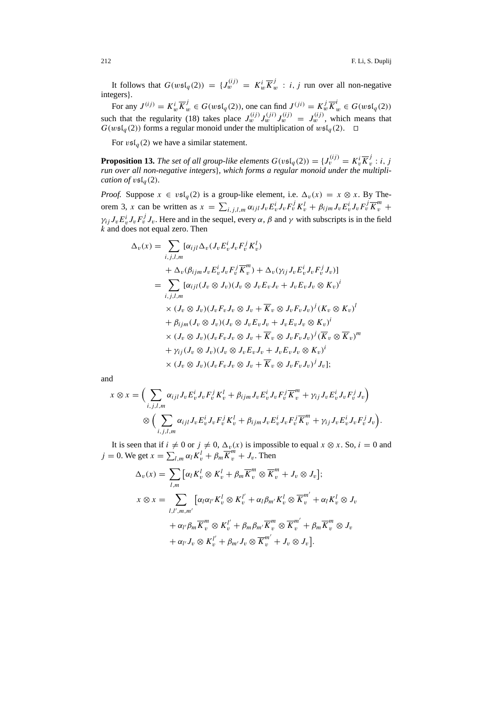It follows that  $G(w \mathfrak{sl}_q(2)) = \{J_w^{(ij)} = K_w^i \overline{K}_w^j : i, j \text{ run over all non-negative} \}$ integers}.

For any  $J^{(ij)} = K_w^i \overline{K}_w^j \in G(w \mathfrak{sl}_q(2))$ , one can find  $J^{(ji)} = K_w^j \overline{K}_w^i \in G(w \mathfrak{sl}_q(2))$ such that the regularity (18) takes place  $J_w^{(ij)} J_w^{(ij)} J_w^{(ij)} = J_w^{(ij)}$ , which means that  $G(w \mathfrak{sl}_q(2))$  forms a regular monoid under the multiplication of  $w \mathfrak{sl}_q(2)$ .  $\Box$ 

For  $\upsilon$ sl<sub>q</sub>(2) we have a similar statement.

**Proposition 13.** The set of all group-like elements  $G(v \mathfrak{sl}_q(2)) = \{J_v^{(ij)} = K_v^i \overline{K}_v^j : i, j \in V \}$ *run over all non-negative integers*}*, which forms a regular monoid under the multiplication of*  $v \n\mathfrak{sl}_q(2)$ *.* 

*Proof.* Suppose  $x \in v \mathfrak{sl}_q(2)$  is a group-like element, i.e.  $\Delta_v(x) = x \otimes x$ . By Theorem 3, x can be written as  $x = \sum_{i,j,l,m} \alpha_{ijl} J_v E_v^j J_v F_v^j K_v^l + \beta_{ijm} J_v E_v^i J_v F_v^j \overline{K}_v^m$  $\gamma_{ij} J_{\nu} E_{\nu}^{i} J_{\nu} F_{\nu}^{j} J_{\nu}$ . Here and in the sequel, every  $\alpha$ ,  $\beta$  and  $\gamma$  with subscripts is in the field  $k$  and does not equal zero. Then

$$
\Delta_v(x) = \sum_{i,j,l,m} [\alpha_{ijl} \Delta_v (J_v E_v^i J_v F_v^j K_v^l)
$$
  
+ 
$$
\Delta_v (\beta_{ijm} J_v E_v^i J_v F_v^j \overline{K}_v^m) + \Delta_v (\gamma_{ij} J_v E_v^i J_v F_v^j J_v)]
$$
  
= 
$$
\sum_{i,j,l,m} [\alpha_{ijl} (J_v \otimes J_v)(J_v \otimes J_v E_v J_v + J_v E_v J_v \otimes K_v)^i
$$
  

$$
\times (J_v \otimes J_v)(J_v F_v J_v \otimes J_v + \overline{K}_v \otimes J_v F_v J_v)^j (K_v \otimes K_v)^l
$$
  
+ 
$$
\beta_{ijm} (J_v \otimes J_v)(J_v \otimes J_v E_v J_v + J_v E_v J_v \otimes K_v)^i
$$
  

$$
\times (J_v \otimes J_v)(J_v F_v J_v \otimes J_v + \overline{K}_v \otimes J_v F_v J_v)^j (\overline{K}_v \otimes \overline{K}_v)^m
$$
  
+ 
$$
\gamma_{ij} (J_v \otimes J_v)(J_v \otimes J_v E_v J_v + J_v E_v J_v \otimes K_v)^i
$$
  

$$
\times (J_v \otimes J_v)(J_v F_v J_v \otimes J_v + \overline{K}_v \otimes J_v F_v J_v)^j J_v];
$$

and

$$
x \otimes x = \Big( \sum_{i,j,l,m} \alpha_{ijl} J_v E_v^j J_v F_v^j K_v^l + \beta_{ijm} J_v E_v^i J_v F_v^j \overline{K}_v^m + \gamma_{ij} J_v E_v^i J_v F_v^j J_v \Big) \n\otimes \Big( \sum_{i,j,l,m} \alpha_{ijl} J_v E_v^j J_v F_v^j K_v^l + \beta_{ijm} J_v E_v^i J_v F_v^j \overline{K}_v^m + \gamma_{ij} J_v E_v^i J_v F_v^j J_v \Big).
$$

It is seen that if  $i \neq 0$  or  $j \neq 0$ ,  $\Delta_v(x)$  is impossible to equal  $x \otimes x$ . So,  $i = 0$  and  $j = 0$ . We get  $x = \sum_{l,m} \alpha_l K_v^l + \beta_m \overline{K}_v^m + J_v$ . Then

$$
\Delta_v(x) = \sum_{l,m} [\alpha_l K_v^l \otimes K_v^l + \beta_m \overline{K}_v^m \otimes \overline{K}_v^m + J_v \otimes J_v];
$$
  

$$
x \otimes x = \sum_{l,l',m,m'} [\alpha_l \alpha_{l'} K_v^l \otimes K_v^{l'} + \alpha_l \beta_{m'} K_v^l \otimes \overline{K}_v^{m'} + \alpha_l K_v^l \otimes J_v
$$
  

$$
+ \alpha_{l'} \beta_m \overline{K}_v^m \otimes K_v^{l'} + \beta_m \beta_{m'} \overline{K}_v^m \otimes \overline{K}_v^{m'} + \beta_m \overline{K}_v^m \otimes J_v
$$
  

$$
+ \alpha_{l'} J_v \otimes K_v^{l'} + \beta_{m'} J_v \otimes \overline{K}_v^{m'} + J_v \otimes J_v].
$$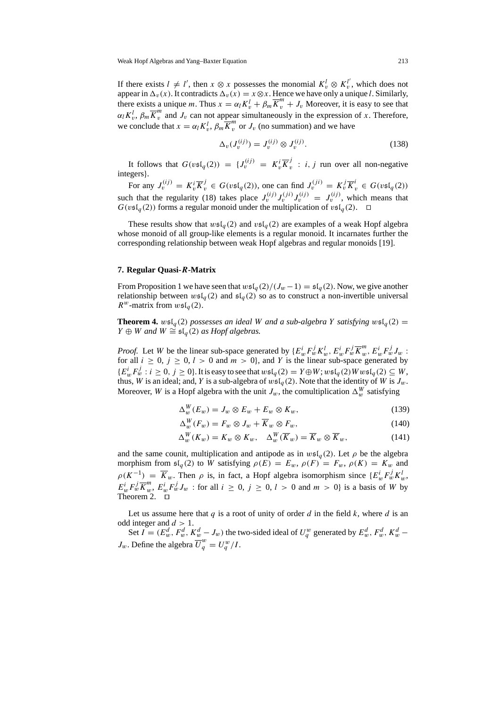If there exists  $l \neq l'$ , then  $x \otimes x$  possesses the monomial  $K_v^l \otimes K_v^{l'}$ , which does not appear in  $\Delta_v(x)$ . It contradicts  $\Delta_v(x) = x \otimes x$ . Hence we have only a unique l. Similarly, there exists a unique m. Thus  $x = \alpha_l K_v^l + \beta_m \overline{K}_v^m + J_v$  Moreover, it is easy to see that  $\alpha_l K_v^l$ ,  $\beta_m \overline{K}_v^m$  and  $J_v$  can not appear simultaneously in the expression of x. Therefore, we conclude that  $x = \alpha_l K_v^l$ ,  $\beta_m \overline{K}_v^m$  or  $J_v$  (no summation) and we have

$$
\Delta_v(J_v^{(ij)}) = J_v^{(ij)} \otimes J_v^{(ij)}.
$$
\n(138)

It follows that  $G(v \mathfrak{sl}_q(2)) = \{J_v^{(ij)} = K_v^i \overline{K}_v^j : i, j \text{ run over all non-negative} \}$ integers}.

For any  $J_v^{(ij)} = K_v^i \overline{K}_v^j \in G(v \mathfrak{sl}_q(2))$ , one can find  $J_v^{(ji)} = K_v^j \overline{K}_v^i \in G(v \mathfrak{sl}_q(2))$ such that the regularity (18) takes place  $J_v^{(ij)} J_v^{(ij)} = J_v^{(ij)}$ , which means that  $G(v \mathfrak{sl}_q(2))$  forms a regular monoid under the multiplication of  $v \mathfrak{sl}_q(2)$ .

These results show that  $w\mathfrak{sl}_q(2)$  and  $v\mathfrak{sl}_q(2)$  are examples of a weak Hopf algebra whose monoid of all group-like elements is a regular monoid. It incarnates further the corresponding relationship between weak Hopf algebras and regular monoids [19].

#### **7. Regular Quasi-***R***-Matrix**

From Proposition 1 we have seen that  $wsI_q(2)/(J_w-1) = sI_q(2)$ . Now, we give another relationship between  $w\mathfrak{sl}_q(2)$  and  $\mathfrak{sl}_q(2)$  so as to construct a non-invertible universal  $R^w$ -matrix from  $w\mathfrak{sl}_q(2)$ .

**Theorem 4.**  $w\mathfrak{sl}_q(2)$  possesses an ideal W and a sub-algebra Y satisfying  $w\mathfrak{sl}_q(2)$  = *Y* ⊕ *W* and *W*  $\cong$   $\mathfrak{sl}_q(2)$  *as Hopf algebras.* 

*Proof.* Let *W* be the linear sub-space generated by  $\{E_w^i F_w^j K_w^l, E_w^i F_w^j \overline{K}_w^m, E_w^i F_w^j J_w \}$ for all  $i \geq 0$ ,  $j \geq 0$ ,  $l > 0$  and  $m > 0$ , and Y is the linear sub-space generated by  ${E_w^i} E_w^j : i \ge 0, j \ge 0$ . It is easy to see that  $w\mathfrak{sl}_q(2) = Y \oplus W$ ;  $w\mathfrak{sl}_q(2)Ww\mathfrak{sl}_q(2) \subseteq W$ , thus, W is an ideal; and, Y is a sub-algebra of  $w\mathfrak{sl}_q(2)$ . Note that the identity of W is  $J_w$ . Moreover, W is a Hopf algebra with the unit  $J_w$ , the comultiplication  $\Delta_w^W$  satisfying

$$
\Delta_w^W(E_w) = J_w \otimes E_w + E_w \otimes K_w,\tag{139}
$$

$$
\Delta_w^W(F_w) = F_w \otimes J_w + \overline{K}_w \otimes F_w,\tag{140}
$$

$$
\Delta_w^W(K_w) = K_w \otimes K_w, \quad \Delta_w^W(\overline{K}_w) = \overline{K}_w \otimes \overline{K}_w, \tag{141}
$$

and the same counit, multiplication and antipode as in  $w\mathfrak{sl}_q(2)$ . Let  $\rho$  be the algebra morphism from  $\mathfrak{sl}_q(2)$  to W satisfying  $\rho(E) = E_w$ ,  $\rho(F) = F_w$ ,  $\rho(K) = K_w$  and  $\rho(K^{-1}) = \overline{K}_w$ . Then  $\rho$  is, in fact, a Hopf algebra isomorphism since  $\{E_w^i F_w^j K_w^l\}$  $E_w^i F_w^j \overline{K}^m_w$ ,  $E_w^i F_w^j J_w$ : for all  $i \geq 0$ ,  $j \geq 0$ ,  $l > 0$  and  $m > 0$ } is a basis of W by Theorem 2. <del>□</del>

Let us assume here that q is a root of unity of order d in the field k, where d is an odd integer and  $d > 1$ .

Set  $I = (E_w^d, F_w^d, K_w^d - J_w)$  the two-sided ideal of  $U_q^w$  generated by  $E_w^d, F_w^d, K_w^d - J_w$  $J_w$ . Define the algebra  $\overline{U}_q^w = U_q^w / I$ .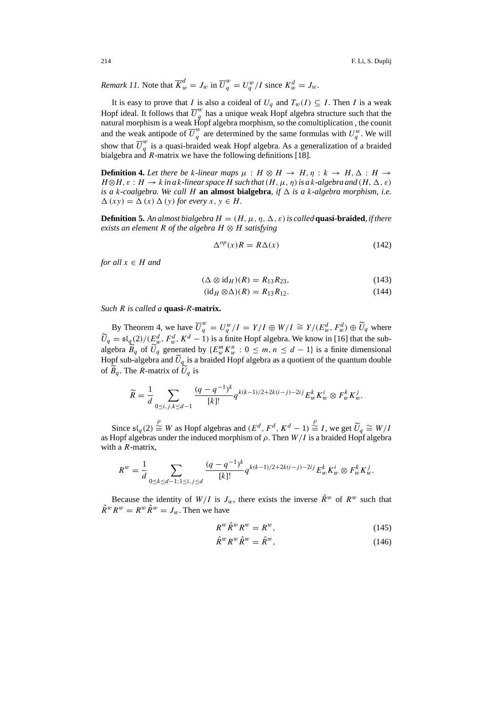*Remark 11.* Note that  $\overline{K}^d_w = J_w$  in  $\overline{U}^w_q = U^w_q/I$  since  $K^d_w = J_w$ .

It is easy to prove that I is also a coideal of  $U_q$  and  $T_w(I) \subseteq I$ . Then I is a weak Hopf ideal. It follows that  $\overline{U}_g^w$  has a unique weak Hopf algebra structure such that the natural morphism is a weak Hopf algebra morphism, so the comultiplication , the counit and the weak antipode of  $\overline{U}_q^w$  are determined by the same formulas with  $U_q^w$ . We will show that  $\overline{U}_q^w$  is a quasi-braided weak Hopf algebra. As a generalization of a braided bialgebra and R-matrix we have the following definitions [18].

**Definition 4.** Let there be k-linear maps  $\mu : H \otimes H \rightarrow H, \eta : k \rightarrow H, \Delta : H \rightarrow$  $H \otimes H$ ,  $\varepsilon$  :  $H \to k$  *in a* k-linear space H such that  $(H, \mu, \eta)$  *is a* k-algebra and  $(H, \Delta, \varepsilon)$ *is a* k*-coalgebra. We call* H **an almost bialgebra***, if is a* k*-algebra morphism, i.e.*  $\Delta(xy) = \Delta(x) \Delta(y)$  *for every*  $x, y \in H$ .

**Definition 5.** An almost bialgebra  $H = (H, \mu, \eta, \Delta, \varepsilon)$  is called **quasi-braided**, *if there exists an element* R *of the algebra* H ⊗ H *satisfying*

$$
\Delta^{op}(x)R = R\Delta(x) \tag{142}
$$

*for all*  $x \in H$  *and* 

$$
(\Delta \otimes id_H)(R) = R_{13}R_{23},\tag{143}
$$

$$
(\mathrm{id}_H \otimes \Delta)(R) = R_{13}R_{12}.\tag{144}
$$

*Such* R *is called a* **quasi-**R**-matrix.**

By Theorem 4, we have  $\overline{U}_q^w = U_q^w / I = Y / I \oplus W / I \cong Y / (E_w^d, F_w^d) \oplus \widetilde{U}_q$  where  $\widetilde{U}_q = \mathfrak{sl}_q(2)/\left(E_w^d, F_w^d, K^d - 1\right)$  is a finite Hopf algebra. We know in [16] that the subalgebra  $\widetilde{B}_q$  of  $\widetilde{U}_q$  generated by  $\{E_w^m K_w^n : 0 \le m, n \le d - 1\}$  is a finite dimensional Hopf sub-algebra and  $U_q$  is a braided Hopf algebra as a quotient of the quantum double of  $B_q$ . The *R*-matrix of  $U_q$  is

$$
\widetilde{R} = \frac{1}{d} \sum_{0 \le i, j, k \le d-1} \frac{(q - q^{-1})^k}{[k]!} q^{k(k-1)/2 + 2k(i-j) - 2ij} E_w^k K_w^i \otimes F_w^k K_w^j.
$$

Since  $\mathfrak{sl}_q(2) \stackrel{\rho}{\cong} W$  as Hopf algebras and  $(E^d, F^d, K^d - 1) \stackrel{\rho}{\cong} I$ , we get  $\widetilde{U}_q \cong W/I$ <br>Hopf algebras under the induced morphism of a Then  $W/I$  is a braided Hopf algebra. as Hopf algebras under the induced morphism of  $\rho$ . Then  $W/I$  is a braided Hopf algebra with a *R*-matrix,

$$
R^{w} = \frac{1}{d} \sum_{0 \le k \le d-1; 1 \le i, j \le d} \frac{(q - q^{-1})^{k}}{[k]!} q^{k(k-1)/2 + 2k(i-j) - 2ij} E_{w}^{k} K_{w}^{i} \otimes F_{w}^{k} K_{w}^{j}.
$$

Because the identity of  $W/I$  is  $J_w$ , there exists the inverse  $\hat{R}^w$  of  $R^w$  such that  $\hat{R}^w R^w = R^w \hat{R}^w = J_w$ . Then we have

$$
R^w \hat{R}^w R^w = R^w, \tag{145}
$$

$$
\hat{R}^w R^w \hat{R}^w = \hat{R}^w, \tag{146}
$$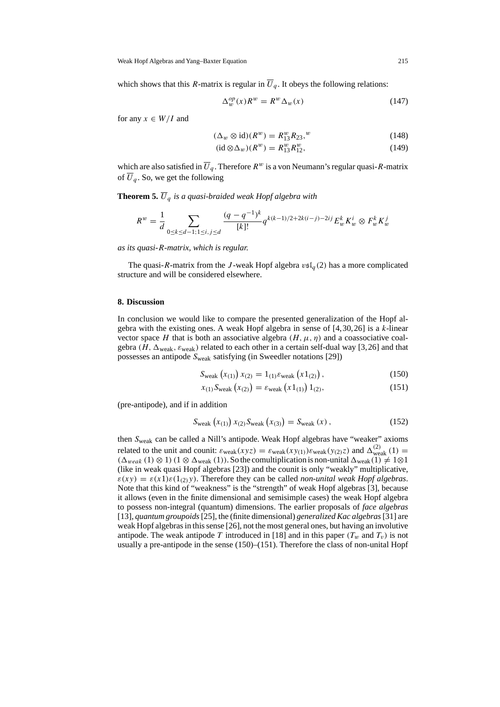which shows that this R-matrix is regular in  $\overline{U}_q$ . It obeys the following relations:

$$
\Delta_w^{op}(x)R^w = R^w \Delta_w(x) \tag{147}
$$

for any  $x \in W/I$  and

$$
(\Delta_w \otimes \text{id})(R^w) = R_{13}^w R_{23},^w \tag{148}
$$

$$
(\mathrm{id}\otimes\Delta_w)(R^w) = R^w_{13}R^w_{12},\tag{149}
$$

which are also satisfied in  $\overline{U}_q$ . Therefore  $R^w$  is a von Neumann's regular quasi-R-matrix of  $\overline{U}_q$ . So, we get the following

**Theorem 5.**  $\overline{U}_q$  *is a quasi-braided weak Hopf algebra with* 

$$
R^{w} = \frac{1}{d} \sum_{0 \le k \le d-1; 1 \le i, j \le d} \frac{(q - q^{-1})^{k}}{[k]!} q^{k(k-1)/2 + 2k(i-j) - 2ij} E_{w}^{k} K_{w}^{i} \otimes F_{w}^{k} K_{w}^{j}
$$

*as its quasi-*R*-matrix, which is regular.*

The quasi-R-matrix from the J-weak Hopf algebra  $v s l_q(2)$  has a more complicated structure and will be considered elsewhere.

### **8. Discussion**

In conclusion we would like to compare the presented generalization of the Hopf algebra with the existing ones. A weak Hopf algebra in sense of  $[4,30,26]$  is a k-linear vector space H that is both an associative algebra  $(H, \mu, \eta)$  and a coassociative coalgebra (H,  $\Delta_{weak}$ ,  $\varepsilon_{weak}$ ) related to each other in a certain self-dual way [3,26] and that possesses an antipode  $S_{\text{weak}}$  satisfying (in Sweedler notations [29])

$$
S_{\text{weak}}(x_{(1)}) x_{(2)} = 1_{(1)} \varepsilon_{\text{weak}}(x 1_{(2)}), \tag{150}
$$

$$
x_{(1)}S_{\text{weak}}(x_{(2)}) = \varepsilon_{\text{weak}}(x1_{(1)})1_{(2)},\tag{151}
$$

(pre-antipode), and if in addition

$$
S_{\text{weak}}(x_{(1)}) x_{(2)} S_{\text{weak}}(x_{(3)}) = S_{\text{weak}}(x) , \qquad (152)
$$

then Sweak can be called a Nill's antipode. Weak Hopf algebras have "weaker" axioms related to the unit and counit:  $\varepsilon_{\text{weak}}(xyz) = \varepsilon_{\text{weak}}(xy_{(1)})\varepsilon_{\text{weak}}(y_{(2)}z)$  and  $\Delta_{\text{weak}}^{(2)}(1) =$  $(\Delta_{weak} (1) \otimes 1)$  (1  $\otimes \Delta_{weak} (1)$ ). So the comultiplication is non-unital  $\Delta_{weak} (1) \neq 1 \otimes 1$ (like in weak quasi Hopf algebras [23]) and the counit is only "weakly" multiplicative,  $\varepsilon(xy) = \varepsilon(x1)\varepsilon(1_{(2)}y)$ . Therefore they can be called *non-unital weak Hopf algebras*. Note that this kind of "weakness" is the "strength" of weak Hopf algebras [3], because it allows (even in the finite dimensional and semisimple cases) the weak Hopf algebra to possess non-integral (quantum) dimensions. The earlier proposals of *face algebras* [13], *quantum groupoids*[25], the (finite dimensional) *generalized Kac algebras*[31] are weak Hopf algebras in this sense [26], not the most general ones, but having an involutive antipode. The weak antipode T introduced in [18] and in this paper  $(T_w$  and  $T_v$ ) is not usually a pre-antipode in the sense (150)–(151). Therefore the class of non-unital Hopf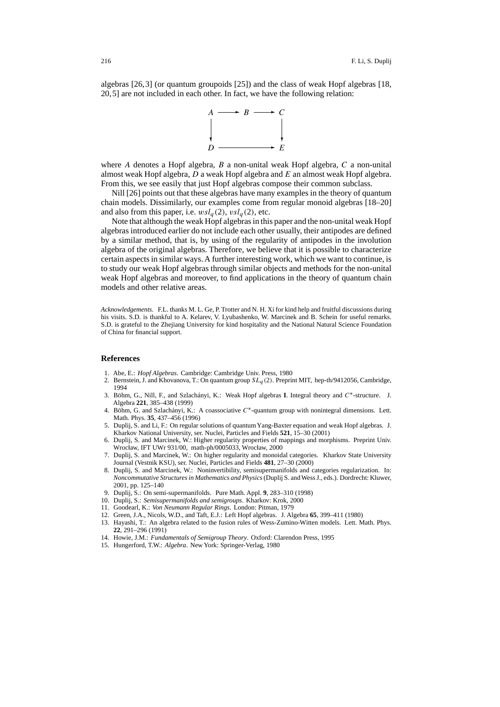algebras [26,3] (or quantum groupoids [25]) and the class of weak Hopf algebras [18, 20,5] are not included in each other. In fact, we have the following relation:



where A denotes a Hopf algebra,  $B$  a non-unital weak Hopf algebra,  $C$  a non-unital almost weak Hopf algebra,  $D$  a weak Hopf algebra and  $E$  an almost weak Hopf algebra. From this, we see easily that just Hopf algebras compose their common subclass.

Nill [26] points out that these algebras have many examples in the theory of quantum chain models. Dissimilarly, our examples come from regular monoid algebras [18–20] and also from this paper, i.e.  $wsl_a(2)$ ,  $vsl_a(2)$ , etc.

Note that although the weak Hopf algebras in this paper and the non-unital weak Hopf algebras introduced earlier do not include each other usually, their antipodes are defined by a similar method, that is, by using of the regularity of antipodes in the involution algebra of the original algebras. Therefore, we believe that it is possible to characterize certain aspects in similar ways. A further interesting work, which we want to continue, is to study our weak Hopf algebras through similar objects and methods for the non-unital weak Hopf algebras and moreover, to find applications in the theory of quantum chain models and other relative areas.

*Acknowledgements.* F.L. thanks M. L. Ge, P. Trotter and N. H. Xi for kind help and fruitful discussions during his visits. S.D. is thankful to A. Kelarev, V. Lyubashenko, W. Marcinek and B. Schein for useful remarks. S.D. is grateful to the Zhejiang University for kind hospitality and the National Natural Science Foundation of China for financial support.

#### **References**

- 1. Abe, E.: *Hopf Algebras*. Cambridge: Cambridge Univ. Press, 1980
- 2. Bernstein, J. and Khovanova, T.: On quantum group  $SL_q(2)$ . Preprint MIT, hep-th/9412056, Cambridge, 1994
- 3. Böhm, G., Nill, F., and Szlachányi, K.: Weak Hopf algebras **I**. Integral theory and C∗-structure. J. Algebra **221**, 385–438 (1999)
- 4. Böhm, G. and Szlachányi, K.: A coassociative C∗-quantum group with nonintegral dimensions. Lett. Math. Phys. **35**, 437–456 (1996)
- 5. Duplij, S. and Li, F.: On regular solutions of quantum Yang-Baxter equation and weak Hopf algebras. J. Kharkov National University, ser. Nuclei, Particles and Fields **521**, 15–30 (2001)
- 6. Duplij, S. and Marcinek, W.: Higher regularity properties of mappings and morphisms. Preprint Univ. Wrocław, IFT UWr 931/00, math-ph/0005033, Wrocław, 2000
- 7. Duplij, S. and Marcinek, W.: On higher regularity and monoidal categories. Kharkov State University Journal (Vestnik KSU), ser. Nuclei, Particles and Fields **481**, 27–30 (2000)
- 8. Duplij, S. and Marcinek, W.: Noninvertibility, semisupermanifolds and categories regularization. In: *Noncommutative Structures in Mathematics and Physics*(Duplij S. and Wess J., eds.). Dordrecht: Kluwer, 2001, pp. 125–140
- 9. Duplij, S.: On semi-supermanifolds. Pure Math. Appl. **9**, 283–310 (1998)
- 10. Duplij, S.: *Semisupermanifolds and semigroups*. Kharkov: Krok, 2000
- 11. Goodearl, K.: *Von Neumann Regular Rings*. London: Pitman, 1979
- 12. Green, J.A., Nicols, W.D., and Taft, E.J.: Left Hopf algebras. J. Algebra **65**, 399–411 (1980)
- 13. Hayashi, T.: An algebra related to the fusion rules of Wess-Zumino-Witten models. Lett. Math. Phys. **22**, 291–296 (1991)
- 14. Howie, J.M.: *Fundamentals of Semigroup Theory*. Oxford: Clarendon Press, 1995
- 15. Hungerford, T.W.: *Algebra*. New York: Springer-Verlag, 1980